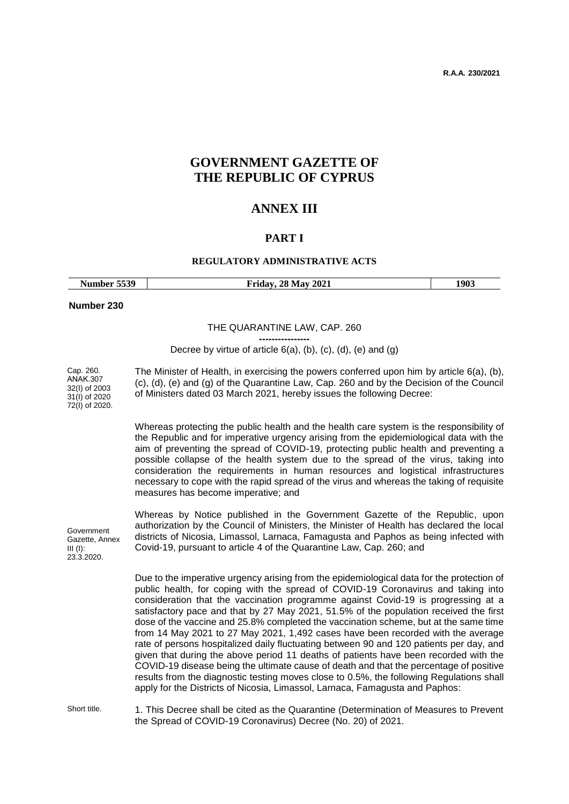**R.A.A. 230/2021**

# **GOVERNMENT GAZETTE OF THE REPUBLIC OF CYPRUS**

## **ANNEX III**

#### **PART Ι**

#### **REGULATORY ADMINISTRATIVE ACTS**

| Number 5539                                                               |  | <b>Friday, 28 May 2021</b>                                                                                                                                                                                                                                                                                                                                                                                                                                                                                                                                                                                                                                                                                                                                                                                                                                                                                                                                                                        | 1903 |
|---------------------------------------------------------------------------|--|---------------------------------------------------------------------------------------------------------------------------------------------------------------------------------------------------------------------------------------------------------------------------------------------------------------------------------------------------------------------------------------------------------------------------------------------------------------------------------------------------------------------------------------------------------------------------------------------------------------------------------------------------------------------------------------------------------------------------------------------------------------------------------------------------------------------------------------------------------------------------------------------------------------------------------------------------------------------------------------------------|------|
| Number 230                                                                |  |                                                                                                                                                                                                                                                                                                                                                                                                                                                                                                                                                                                                                                                                                                                                                                                                                                                                                                                                                                                                   |      |
|                                                                           |  | THE QUARANTINE LAW, CAP. 260                                                                                                                                                                                                                                                                                                                                                                                                                                                                                                                                                                                                                                                                                                                                                                                                                                                                                                                                                                      |      |
|                                                                           |  | Decree by virtue of article $6(a)$ , $(b)$ , $(c)$ , $(d)$ , $(e)$ and $(g)$                                                                                                                                                                                                                                                                                                                                                                                                                                                                                                                                                                                                                                                                                                                                                                                                                                                                                                                      |      |
| Cap. 260.<br>ANAK.307<br>32(I) of 2003<br>31(I) of 2020<br>72(I) of 2020. |  | The Minister of Health, in exercising the powers conferred upon him by article $6(a)$ , (b),<br>(c), (d), (e) and (g) of the Quarantine Law, Cap. 260 and by the Decision of the Council<br>of Ministers dated 03 March 2021, hereby issues the following Decree:                                                                                                                                                                                                                                                                                                                                                                                                                                                                                                                                                                                                                                                                                                                                 |      |
|                                                                           |  | Whereas protecting the public health and the health care system is the responsibility of<br>the Republic and for imperative urgency arising from the epidemiological data with the<br>aim of preventing the spread of COVID-19, protecting public health and preventing a<br>possible collapse of the health system due to the spread of the virus, taking into<br>consideration the requirements in human resources and logistical infrastructures<br>necessary to cope with the rapid spread of the virus and whereas the taking of requisite<br>measures has become imperative; and                                                                                                                                                                                                                                                                                                                                                                                                            |      |
| Government<br>Gazette, Annex<br>$III$ (I):<br>23.3.2020.                  |  | Whereas by Notice published in the Government Gazette of the Republic, upon<br>authorization by the Council of Ministers, the Minister of Health has declared the local<br>districts of Nicosia, Limassol, Larnaca, Famagusta and Paphos as being infected with<br>Covid-19, pursuant to article 4 of the Quarantine Law, Cap. 260; and                                                                                                                                                                                                                                                                                                                                                                                                                                                                                                                                                                                                                                                           |      |
|                                                                           |  | Due to the imperative urgency arising from the epidemiological data for the protection of<br>public health, for coping with the spread of COVID-19 Coronavirus and taking into<br>consideration that the vaccination programme against Covid-19 is progressing at a<br>satisfactory pace and that by 27 May 2021, 51.5% of the population received the first<br>dose of the vaccine and 25.8% completed the vaccination scheme, but at the same time<br>from 14 May 2021 to 27 May 2021, 1,492 cases have been recorded with the average<br>rate of persons hospitalized daily fluctuating between 90 and 120 patients per day, and<br>given that during the above period 11 deaths of patients have been recorded with the<br>COVID-19 disease being the ultimate cause of death and that the percentage of positive<br>results from the diagnostic testing moves close to 0.5%, the following Regulations shall<br>apply for the Districts of Nicosia, Limassol, Larnaca, Famagusta and Paphos: |      |
| Short title                                                               |  | 1 This Desree shall be sited as the Quarantine (Determination of Measures to Prevent                                                                                                                                                                                                                                                                                                                                                                                                                                                                                                                                                                                                                                                                                                                                                                                                                                                                                                              |      |

Short title. 1. This Decree shall be cited as the Quarantine (Determination of Measures to Prevent the Spread of COVID-19 Coronavirus) Decree (No. 20) of 2021.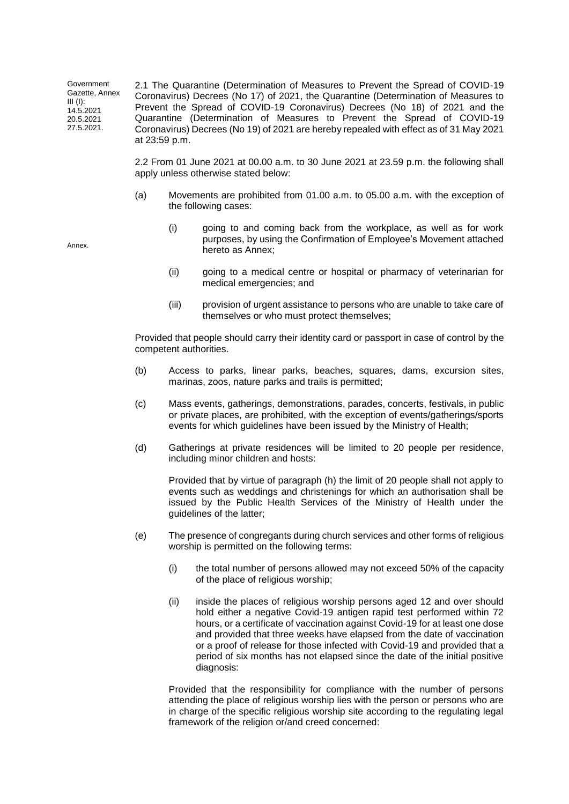Government Gazette, Annex  $III$  $(I)$ : 14.5.2021 20.5.2021 27.5.2021. 2.1 The Quarantine (Determination of Measures to Prevent the Spread of COVID-19 Coronavirus) Decrees (No 17) of 2021, the Quarantine (Determination of Measures to Prevent the Spread of COVID-19 Coronavirus) Decrees (No 18) of 2021 and the Quarantine (Determination of Measures to Prevent the Spread of COVID-19 Coronavirus) Decrees (No 19) of 2021 are hereby repealed with effect as of 31 May 2021 at 23:59 p.m.

> 2.2 From 01 June 2021 at 00.00 a.m. to 30 June 2021 at 23.59 p.m. the following shall apply unless otherwise stated below:

- (a) Movements are prohibited from 01.00 a.m. to 05.00 a.m. with the exception of the following cases:
	- (i) going to and coming back from the workplace, as well as for work purposes, by using the Confirmation of Employee's Movement attached hereto as Annex;
	- (ii) going to a medical centre or hospital or pharmacy of veterinarian for medical emergencies; and
	- (iii) provision of urgent assistance to persons who are unable to take care of themselves or who must protect themselves;

Provided that people should carry their identity card or passport in case of control by the competent authorities.

- (b) Access to parks, linear parks, beaches, squares, dams, excursion sites, marinas, zoos, nature parks and trails is permitted;
- (c) Mass events, gatherings, demonstrations, parades, concerts, festivals, in public or private places, are prohibited, with the exception of events/gatherings/sports events for which guidelines have been issued by the Ministry of Health;
- (d) Gatherings at private residences will be limited to 20 people per residence, including minor children and hosts:

Provided that by virtue of paragraph (h) the limit of 20 people shall not apply to events such as weddings and christenings for which an authorisation shall be issued by the Public Health Services of the Ministry of Health under the guidelines of the latter;

- (e) The presence of congregants during church services and other forms of religious worship is permitted on the following terms:
	- (i) the total number of persons allowed may not exceed 50% of the capacity of the place of religious worship;
	- (ii) inside the places of religious worship persons aged 12 and over should hold either a negative Covid-19 antigen rapid test performed within 72 hours, or a certificate of vaccination against Covid-19 for at least one dose and provided that three weeks have elapsed from the date of vaccination or a proof of release for those infected with Covid-19 and provided that a period of six months has not elapsed since the date of the initial positive diagnosis:

Provided that the responsibility for compliance with the number of persons attending the place of religious worship lies with the person or persons who are in charge of the specific religious worship site according to the regulating legal framework of the religion or/and creed concerned:

Annex.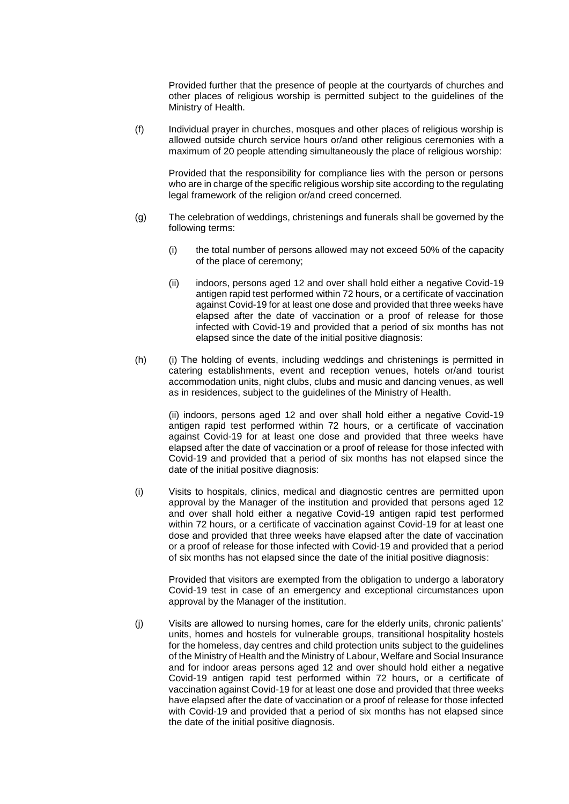Provided further that the presence of people at the courtyards of churches and other places of religious worship is permitted subject to the guidelines of the Ministry of Health.

(f) Individual prayer in churches, mosques and other places of religious worship is allowed outside church service hours or/and other religious ceremonies with a maximum of 20 people attending simultaneously the place of religious worship:

Provided that the responsibility for compliance lies with the person or persons who are in charge of the specific religious worship site according to the regulating legal framework of the religion or/and creed concerned.

- (g) The celebration of weddings, christenings and funerals shall be governed by the following terms:
	- (i) the total number of persons allowed may not exceed 50% of the capacity of the place of ceremony;
	- (ii) indoors, persons aged 12 and over shall hold either a negative Covid-19 antigen rapid test performed within 72 hours, or a certificate of vaccination against Covid-19 for at least one dose and provided that three weeks have elapsed after the date of vaccination or a proof of release for those infected with Covid-19 and provided that a period of six months has not elapsed since the date of the initial positive diagnosis:
- (h) (i) The holding of events, including weddings and christenings is permitted in catering establishments, event and reception venues, hotels or/and tourist accommodation units, night clubs, clubs and music and dancing venues, as well as in residences, subject to the guidelines of the Ministry of Health.

(ii) indoors, persons aged 12 and over shall hold either a negative Covid-19 antigen rapid test performed within 72 hours, or a certificate of vaccination against Covid-19 for at least one dose and provided that three weeks have elapsed after the date of vaccination or a proof of release for those infected with Covid-19 and provided that a period of six months has not elapsed since the date of the initial positive diagnosis:

(i) Visits to hospitals, clinics, medical and diagnostic centres are permitted upon approval by the Manager of the institution and provided that persons aged 12 and over shall hold either a negative Covid-19 antigen rapid test performed within 72 hours, or a certificate of vaccination against Covid-19 for at least one dose and provided that three weeks have elapsed after the date of vaccination or a proof of release for those infected with Covid-19 and provided that a period of six months has not elapsed since the date of the initial positive diagnosis:

Provided that visitors are exempted from the obligation to undergo a laboratory Covid-19 test in case of an emergency and exceptional circumstances upon approval by the Manager of the institution.

(j) Visits are allowed to nursing homes, care for the elderly units, chronic patients' units, homes and hostels for vulnerable groups, transitional hospitality hostels for the homeless, day centres and child protection units subject to the guidelines of the Ministry of Health and the Ministry of Labour, Welfare and Social Insurance and for indoor areas persons aged 12 and over should hold either a negative Covid-19 antigen rapid test performed within 72 hours, or a certificate of vaccination against Covid-19 for at least one dose and provided that three weeks have elapsed after the date of vaccination or a proof of release for those infected with Covid-19 and provided that a period of six months has not elapsed since the date of the initial positive diagnosis.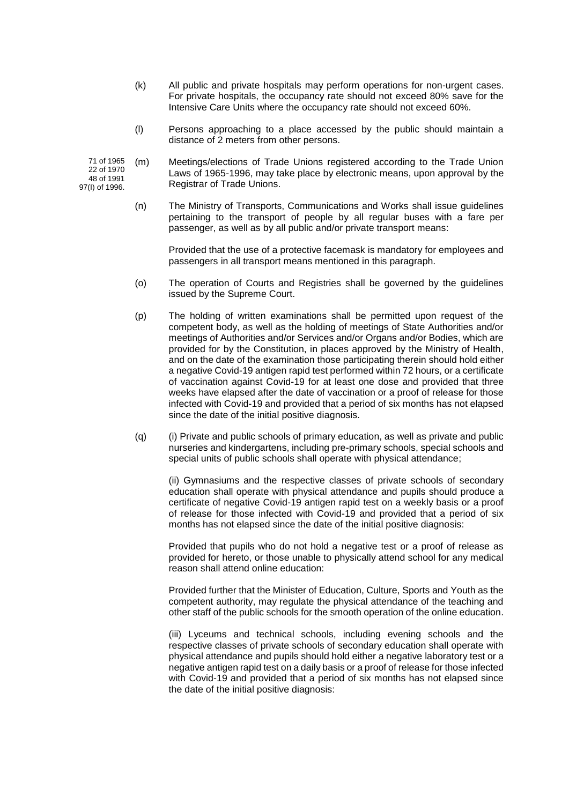- (k) All public and private hospitals may perform operations for non-urgent cases. For private hospitals, the occupancy rate should not exceed 80% save for the Intensive Care Units where the occupancy rate should not exceed 60%.
- (l) Persons approaching to a place accessed by the public should maintain a distance of 2 meters from other persons.

71 of 1965 22 of 1970 48 of 1991 97(I) of 1996. (m) Meetings/elections of Trade Unions registered according to the Trade Union Laws of 1965-1996, may take place by electronic means, upon approval by the Registrar of Trade Unions.

> (n) The Ministry of Transports, Communications and Works shall issue guidelines pertaining to the transport of people by all regular buses with a fare per passenger, as well as by all public and/or private transport means:

Provided that the use of a protective facemask is mandatory for employees and passengers in all transport means mentioned in this paragraph.

- (o) The operation of Courts and Registries shall be governed by the guidelines issued by the Supreme Court.
- (p) The holding of written examinations shall be permitted upon request of the competent body, as well as the holding of meetings of State Authorities and/or meetings of Authorities and/or Services and/or Organs and/or Bodies, which are provided for by the Constitution, in places approved by the Ministry of Health, and on the date of the examination those participating therein should hold either a negative Covid-19 antigen rapid test performed within 72 hours, or a certificate of vaccination against Covid-19 for at least one dose and provided that three weeks have elapsed after the date of vaccination or a proof of release for those infected with Covid-19 and provided that a period of six months has not elapsed since the date of the initial positive diagnosis.
- (q) (i) Private and public schools of primary education, as well as private and public nurseries and kindergartens, including pre-primary schools, special schools and special units of public schools shall operate with physical attendance;

(ii) Gymnasiums and the respective classes of private schools of secondary education shall operate with physical attendance and pupils should produce a certificate of negative Covid-19 antigen rapid test on a weekly basis or a proof of release for those infected with Covid-19 and provided that a period of six months has not elapsed since the date of the initial positive diagnosis:

Provided that pupils who do not hold a negative test or a proof of release as provided for hereto, or those unable to physically attend school for any medical reason shall attend online education:

Provided further that the Minister of Education, Culture, Sports and Youth as the competent authority, may regulate the physical attendance of the teaching and other staff of the public schools for the smooth operation of the online education.

(iii) Lyceums and technical schools, including evening schools and the respective classes of private schools of secondary education shall operate with physical attendance and pupils should hold either a negative laboratory test or a negative antigen rapid test on a daily basis or a proof of release for those infected with Covid-19 and provided that a period of six months has not elapsed since the date of the initial positive diagnosis: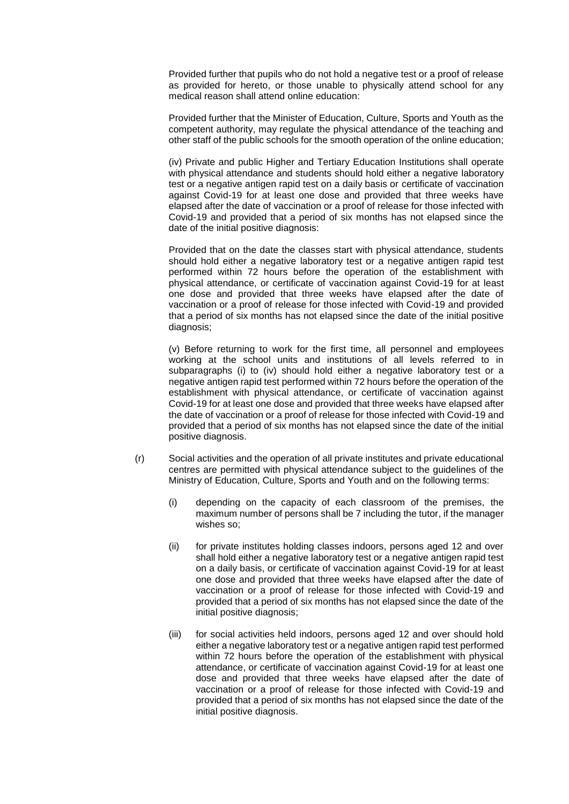Provided further that pupils who do not hold a negative test or a proof of release as provided for hereto, or those unable to physically attend school for any medical reason shall attend online education:

Provided further that the Minister of Education, Culture, Sports and Youth as the competent authority, may regulate the physical attendance of the teaching and other staff of the public schools for the smooth operation of the online education;

(iv) Private and public Higher and Tertiary Education Institutions shall operate with physical attendance and students should hold either a negative laboratory test or a negative antigen rapid test on a daily basis or certificate of vaccination against Covid-19 for at least one dose and provided that three weeks have elapsed after the date of vaccination or a proof of release for those infected with Covid-19 and provided that a period of six months has not elapsed since the date of the initial positive diagnosis:

Provided that on the date the classes start with physical attendance, students should hold either a negative laboratory test or a negative antigen rapid test performed within 72 hours before the operation of the establishment with physical attendance, or certificate of vaccination against Covid-19 for at least one dose and provided that three weeks have elapsed after the date of vaccination or a proof of release for those infected with Covid-19 and provided that a period of six months has not elapsed since the date of the initial positive diagnosis;

(v) Before returning to work for the first time, all personnel and employees working at the school units and institutions of all levels referred to in subparagraphs (i) to (iv) should hold either a negative laboratory test or a negative antigen rapid test performed within 72 hours before the operation of the establishment with physical attendance, or certificate of vaccination against Covid-19 for at least one dose and provided that three weeks have elapsed after the date of vaccination or a proof of release for those infected with Covid-19 and provided that a period of six months has not elapsed since the date of the initial positive diagnosis.

- (r) Social activities and the operation of all private institutes and private educational centres are permitted with physical attendance subject to the guidelines of the Ministry of Education, Culture, Sports and Youth and on the following terms:
	- (i) depending on the capacity of each classroom of the premises, the maximum number of persons shall be 7 including the tutor, if the manager wishes so;
	- (ii) for private institutes holding classes indoors, persons aged 12 and over shall hold either a negative laboratory test or a negative antigen rapid test on a daily basis, or certificate of vaccination against Covid-19 for at least one dose and provided that three weeks have elapsed after the date of vaccination or a proof of release for those infected with Covid-19 and provided that a period of six months has not elapsed since the date of the initial positive diagnosis;
	- (iii) for social activities held indoors, persons aged 12 and over should hold either a negative laboratory test or a negative antigen rapid test performed within 72 hours before the operation of the establishment with physical attendance, or certificate of vaccination against Covid-19 for at least one dose and provided that three weeks have elapsed after the date of vaccination or a proof of release for those infected with Covid-19 and provided that a period of six months has not elapsed since the date of the initial positive diagnosis.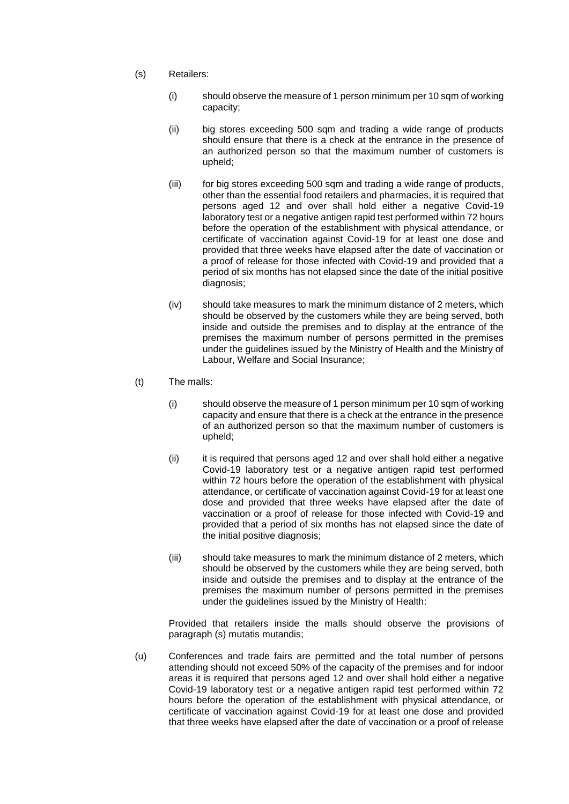- (s) Retailers:
	- (i) should observe the measure of 1 person minimum per 10 sqm of working capacity;
	- (ii) big stores exceeding 500 sqm and trading a wide range of products should ensure that there is a check at the entrance in the presence of an authorized person so that the maximum number of customers is upheld;
	- (iii) for big stores exceeding 500 sqm and trading a wide range of products, other than the essential food retailers and pharmacies, it is required that persons aged 12 and over shall hold either a negative Covid-19 laboratory test or a negative antigen rapid test performed within 72 hours before the operation of the establishment with physical attendance, or certificate of vaccination against Covid-19 for at least one dose and provided that three weeks have elapsed after the date of vaccination or a proof of release for those infected with Covid-19 and provided that a period of six months has not elapsed since the date of the initial positive diagnosis;
	- (iv) should take measures to mark the minimum distance of 2 meters, which should be observed by the customers while they are being served, both inside and outside the premises and to display at the entrance of the premises the maximum number of persons permitted in the premises under the guidelines issued by the Ministry of Health and the Ministry of Labour, Welfare and Social Insurance;
- (t) The malls:
	- (i) should observe the measure of 1 person minimum per 10 sqm of working capacity and ensure that there is a check at the entrance in the presence of an authorized person so that the maximum number of customers is upheld;
	- (ii) it is required that persons aged 12 and over shall hold either a negative Covid-19 laboratory test or a negative antigen rapid test performed within 72 hours before the operation of the establishment with physical attendance, or certificate of vaccination against Covid-19 for at least one dose and provided that three weeks have elapsed after the date of vaccination or a proof of release for those infected with Covid-19 and provided that a period of six months has not elapsed since the date of the initial positive diagnosis;
	- (iii) should take measures to mark the minimum distance of 2 meters, which should be observed by the customers while they are being served, both inside and outside the premises and to display at the entrance of the premises the maximum number of persons permitted in the premises under the guidelines issued by the Ministry of Health:

Provided that retailers inside the malls should observe the provisions of paragraph (s) mutatis mutandis;

(u) Conferences and trade fairs are permitted and the total number of persons attending should not exceed 50% of the capacity of the premises and for indoor areas it is required that persons aged 12 and over shall hold either a negative Covid-19 laboratory test or a negative antigen rapid test performed within 72 hours before the operation of the establishment with physical attendance, or certificate of vaccination against Covid-19 for at least one dose and provided that three weeks have elapsed after the date of vaccination or a proof of release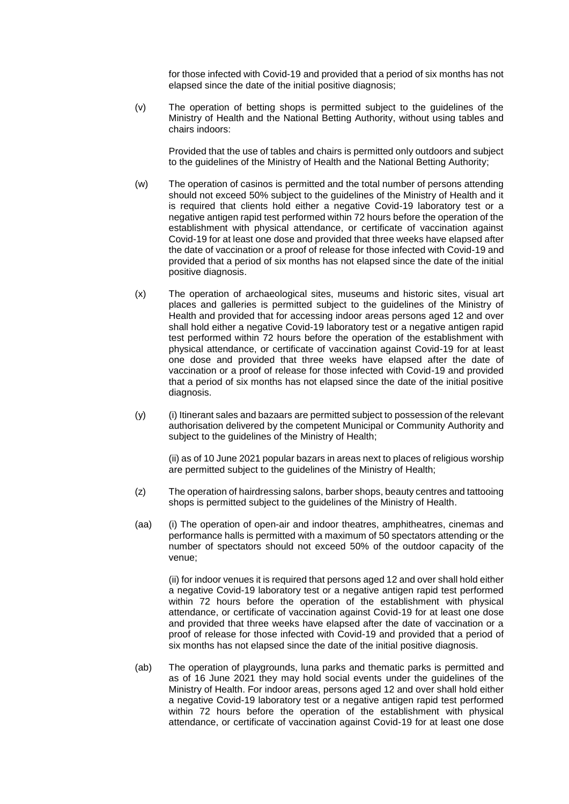for those infected with Covid-19 and provided that a period of six months has not elapsed since the date of the initial positive diagnosis;

(v) The operation of betting shops is permitted subject to the guidelines of the Ministry of Health and the National Betting Authority, without using tables and chairs indoors:

Provided that the use of tables and chairs is permitted only outdoors and subject to the guidelines of the Ministry of Health and the National Betting Authority;

- (w) The operation of casinos is permitted and the total number of persons attending should not exceed 50% subject to the guidelines of the Ministry of Health and it is required that clients hold either a negative Covid-19 laboratory test or a negative antigen rapid test performed within 72 hours before the operation of the establishment with physical attendance, or certificate of vaccination against Covid-19 for at least one dose and provided that three weeks have elapsed after the date of vaccination or a proof of release for those infected with Covid-19 and provided that a period of six months has not elapsed since the date of the initial positive diagnosis.
- (x) The operation of archaeological sites, museums and historic sites, visual art places and galleries is permitted subject to the guidelines of the Ministry of Health and provided that for accessing indoor areas persons aged 12 and over shall hold either a negative Covid-19 laboratory test or a negative antigen rapid test performed within 72 hours before the operation of the establishment with physical attendance, or certificate of vaccination against Covid-19 for at least one dose and provided that three weeks have elapsed after the date of vaccination or a proof of release for those infected with Covid-19 and provided that a period of six months has not elapsed since the date of the initial positive diagnosis.
- $(y)$  (i) Itinerant sales and bazaars are permitted subject to possession of the relevant authorisation delivered by the competent Municipal or Community Authority and subject to the guidelines of the Ministry of Health;

(ii) as of 10 June 2021 popular bazars in areas next to places of religious worship are permitted subject to the guidelines of the Ministry of Health;

- (z) The operation of hairdressing salons, barber shops, beauty centres and tattooing shops is permitted subject to the guidelines of the Ministry of Health.
- (aa) (i) The operation of open-air and indoor theatres, amphitheatres, cinemas and performance halls is permitted with a maximum of 50 spectators attending or the number of spectators should not exceed 50% of the outdoor capacity of the venue;

(ii) for indoor venues it is required that persons aged 12 and over shall hold either a negative Covid-19 laboratory test or a negative antigen rapid test performed within 72 hours before the operation of the establishment with physical attendance, or certificate of vaccination against Covid-19 for at least one dose and provided that three weeks have elapsed after the date of vaccination or a proof of release for those infected with Covid-19 and provided that a period of six months has not elapsed since the date of the initial positive diagnosis.

(ab) The operation of playgrounds, luna parks and thematic parks is permitted and as of 16 June 2021 they may hold social events under the guidelines of the Ministry of Health. For indoor areas, persons aged 12 and over shall hold either a negative Covid-19 laboratory test or a negative antigen rapid test performed within 72 hours before the operation of the establishment with physical attendance, or certificate of vaccination against Covid-19 for at least one dose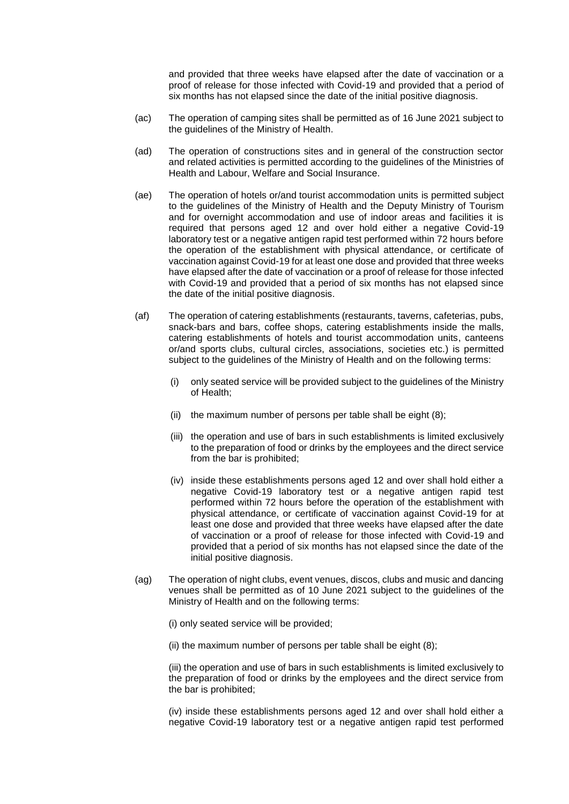and provided that three weeks have elapsed after the date of vaccination or a proof of release for those infected with Covid-19 and provided that a period of six months has not elapsed since the date of the initial positive diagnosis.

- (ac) The operation of camping sites shall be permitted as of 16 June 2021 subject to the guidelines of the Ministry of Health.
- (ad) The operation of constructions sites and in general of the construction sector and related activities is permitted according to the guidelines of the Ministries of Health and Labour, Welfare and Social Insurance.
- (ae) The operation of hotels or/and tourist accommodation units is permitted subject to the guidelines of the Ministry of Health and the Deputy Ministry of Tourism and for overnight accommodation and use of indoor areas and facilities it is required that persons aged 12 and over hold either a negative Covid-19 laboratory test or a negative antigen rapid test performed within 72 hours before the operation of the establishment with physical attendance, or certificate of vaccination against Covid-19 for at least one dose and provided that three weeks have elapsed after the date of vaccination or a proof of release for those infected with Covid-19 and provided that a period of six months has not elapsed since the date of the initial positive diagnosis.
- (af) The operation of catering establishments (restaurants, taverns, cafeterias, pubs, snack-bars and bars, coffee shops, catering establishments inside the malls, catering establishments of hotels and tourist accommodation units, canteens or/and sports clubs, cultural circles, associations, societies etc.) is permitted subject to the guidelines of the Ministry of Health and on the following terms:
	- (i) only seated service will be provided subject to the guidelines of the Ministry of Health;
	- (ii) the maximum number of persons per table shall be eight (8);
	- (iii) the operation and use of bars in such establishments is limited exclusively to the preparation of food or drinks by the employees and the direct service from the bar is prohibited;
	- (iv) inside these establishments persons aged 12 and over shall hold either a negative Covid-19 laboratory test or a negative antigen rapid test performed within 72 hours before the operation of the establishment with physical attendance, or certificate of vaccination against Covid-19 for at least one dose and provided that three weeks have elapsed after the date of vaccination or a proof of release for those infected with Covid-19 and provided that a period of six months has not elapsed since the date of the initial positive diagnosis.
- (ag) The operation of night clubs, event venues, discos, clubs and music and dancing venues shall be permitted as of 10 June 2021 subject to the guidelines of the Ministry of Health and on the following terms:

(i) only seated service will be provided;

(ii) the maximum number of persons per table shall be eight (8);

(iii) the operation and use of bars in such establishments is limited exclusively to the preparation of food or drinks by the employees and the direct service from the bar is prohibited;

(iv) inside these establishments persons aged 12 and over shall hold either a negative Covid-19 laboratory test or a negative antigen rapid test performed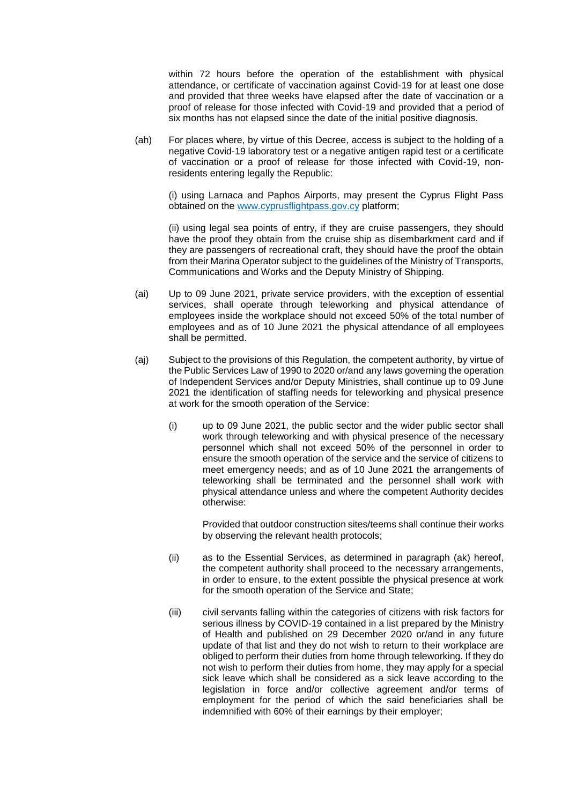within 72 hours before the operation of the establishment with physical attendance, or certificate of vaccination against Covid-19 for at least one dose and provided that three weeks have elapsed after the date of vaccination or a proof of release for those infected with Covid-19 and provided that a period of six months has not elapsed since the date of the initial positive diagnosis.

(ah) For places where, by virtue of this Decree, access is subject to the holding of a negative Covid-19 laboratory test or a negative antigen rapid test or a certificate of vaccination or a proof of release for those infected with Covid-19, nonresidents entering legally the Republic:

(i) using Larnaca and Paphos Airports, may present the Cyprus Flight Pass obtained on the [www.cyprusflightpass.gov.cy](http://www.cyprusflightpass.gov.cy/) platform;

(ii) using legal sea points of entry, if they are cruise passengers, they should have the proof they obtain from the cruise ship as disembarkment card and if they are passengers of recreational craft, they should have the proof the obtain from their Marina Operator subject to the guidelines of the Ministry of Transports, Communications and Works and the Deputy Ministry of Shipping.

- (ai) Up to 09 June 2021, private service providers, with the exception of essential services, shall operate through teleworking and physical attendance of employees inside the workplace should not exceed 50% of the total number of employees and as of 10 June 2021 the physical attendance of all employees shall be permitted.
- (aj) Subject to the provisions of this Regulation, the competent authority, by virtue of the Public Services Law of 1990 to 2020 or/and any laws governing the operation of Independent Services and/or Deputy Ministries, shall continue up to 09 June 2021 the identification of staffing needs for teleworking and physical presence at work for the smooth operation of the Service:
	- (i) up to 09 June 2021, the public sector and the wider public sector shall work through teleworking and with physical presence of the necessary personnel which shall not exceed 50% of the personnel in order to ensure the smooth operation of the service and the service of citizens to meet emergency needs; and as of 10 June 2021 the arrangements of teleworking shall be terminated and the personnel shall work with physical attendance unless and where the competent Authority decides otherwise:

Provided that outdoor construction sites/teems shall continue their works by observing the relevant health protocols;

- (ii) as to the Essential Services, as determined in paragraph (ak) hereof, the competent authority shall proceed to the necessary arrangements, in order to ensure, to the extent possible the physical presence at work for the smooth operation of the Service and State;
- (iii) civil servants falling within the categories of citizens with risk factors for serious illness by COVID-19 contained in a list prepared by the Ministry of Health and published on 29 December 2020 or/and in any future update of that list and they do not wish to return to their workplace are obliged to perform their duties from home through teleworking. If they do not wish to perform their duties from home, they may apply for a special sick leave which shall be considered as a sick leave according to the legislation in force and/or collective agreement and/or terms of employment for the period of which the said beneficiaries shall be indemnified with 60% of their earnings by their employer;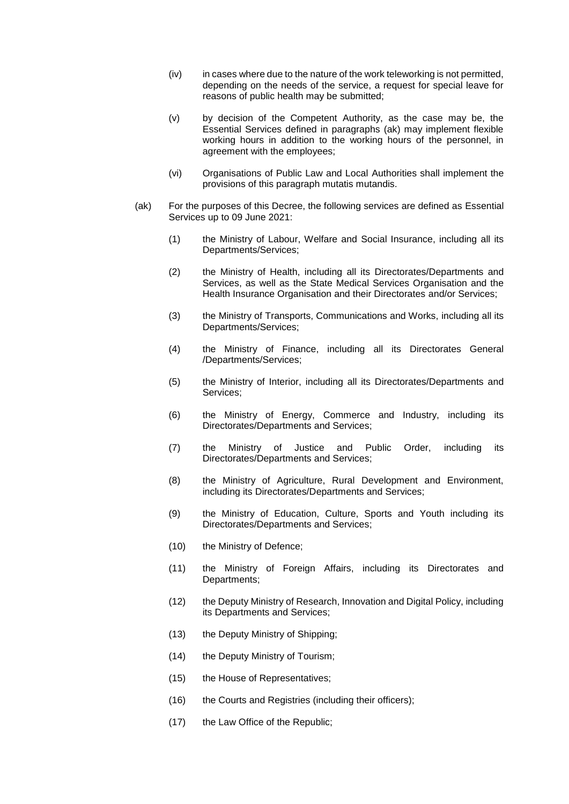- (iv) in cases where due to the nature of the work teleworking is not permitted, depending on the needs of the service, a request for special leave for reasons of public health may be submitted;
- (v) by decision of the Competent Authority, as the case may be, the Essential Services defined in paragraphs (ak) may implement flexible working hours in addition to the working hours of the personnel, in agreement with the employees;
- (vi) Organisations of Public Law and Local Authorities shall implement the provisions of this paragraph mutatis mutandis.
- (ak) For the purposes of this Decree, the following services are defined as Essential Services up to 09 June 2021:
	- (1) the Ministry of Labour, Welfare and Social Insurance, including all its Departments/Services;
	- (2) the Ministry of Health, including all its Directorates/Departments and Services, as well as the State Medical Services Organisation and the Health Insurance Organisation and their Directorates and/or Services;
	- (3) the Ministry of Transports, Communications and Works, including all its Departments/Services;
	- (4) the Ministry of Finance, including all its Directorates General /Departments/Services;
	- (5) the Ministry of Interior, including all its Directorates/Departments and Services;
	- (6) the Ministry of Energy, Commerce and Industry, including its Directorates/Departments and Services;
	- (7) the Ministry of Justice and Public Order, including its Directorates/Departments and Services;
	- (8) the Ministry of Agriculture, Rural Development and Environment, including its Directorates/Departments and Services;
	- (9) the Ministry of Education, Culture, Sports and Youth including its Directorates/Departments and Services;
	- (10) the Ministry of Defence;
	- (11) the Ministry of Foreign Affairs, including its Directorates and Departments;
	- (12) the Deputy Ministry of Research, Innovation and Digital Policy, including its Departments and Services;
	- (13) the Deputy Ministry of Shipping;
	- (14) the Deputy Ministry of Tourism;
	- (15) the House of Representatives;
	- (16) the Courts and Registries (including their officers);
	- (17) the Law Office of the Republic;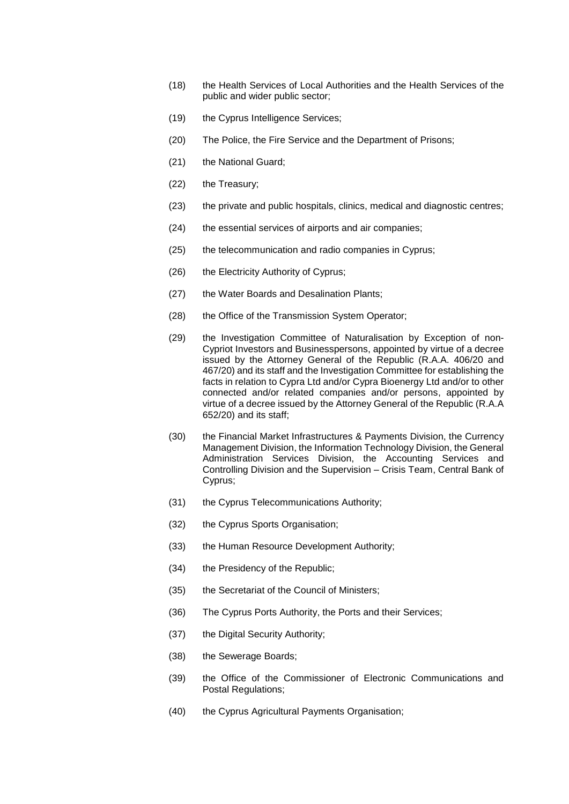- (18) the Health Services of Local Authorities and the Health Services of the public and wider public sector;
- (19) the Cyprus Intelligence Services;
- (20) The Police, the Fire Service and the Department of Prisons;
- (21) the National Guard;
- (22) the Treasury;
- (23) the private and public hospitals, clinics, medical and diagnostic centres;
- (24) the essential services of airports and air companies;
- (25) the telecommunication and radio companies in Cyprus;
- (26) the Electricity Authority of Cyprus;
- (27) the Water Boards and Desalination Plants;
- (28) the Office of the Transmission System Operator;
- (29) the Investigation Committee of Naturalisation by Exception of non-Cypriot Investors and Businesspersons, appointed by virtue of a decree issued by the Attorney General of the Republic (R.A.A. 406/20 and 467/20) and its staff and the Investigation Committee for establishing the facts in relation to Cypra Ltd and/or Cypra Bioenergy Ltd and/or to other connected and/or related companies and/or persons, appointed by virtue of a decree issued by the Attorney General of the Republic (R.A.A 652/20) and its staff;
- (30) the Financial Market Infrastructures & Payments Division, the Currency Management Division, the Information Technology Division, the General Administration Services Division, the Accounting Services and Controlling Division and the Supervision – Crisis Team, Central Bank of Cyprus;
- (31) the Cyprus Telecommunications Authority;
- (32) the Cyprus Sports Organisation;
- (33) the Human Resource Development Authority;
- (34) the Presidency of the Republic;
- (35) the Secretariat of the Council of Ministers;
- (36) The Cyprus Ports Authority, the Ports and their Services;
- (37) the Digital Security Authority;
- (38) the Sewerage Boards;
- (39) the Office of the Commissioner of Electronic Communications and Postal Regulations;
- (40) the Cyprus Agricultural Payments Organisation;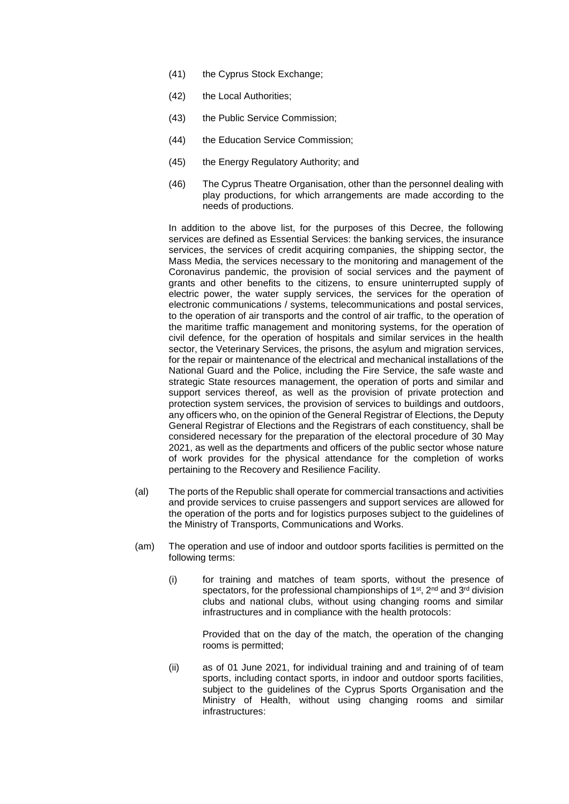- (41) the Cyprus Stock Exchange;
- (42) the Local Authorities;
- (43) the Public Service Commission;
- (44) the Education Service Commission;
- (45) the Energy Regulatory Authority; and
- (46) The Cyprus Theatre Organisation, other than the personnel dealing with play productions, for which arrangements are made according to the needs of productions.

In addition to the above list, for the purposes of this Decree, the following services are defined as Essential Services: the banking services, the insurance services, the services of credit acquiring companies, the shipping sector, the Mass Media, the services necessary to the monitoring and management of the Coronavirus pandemic, the provision of social services and the payment of grants and other benefits to the citizens, to ensure uninterrupted supply of electric power, the water supply services, the services for the operation of electronic communications / systems, telecommunications and postal services, to the operation of air transports and the control of air traffic, to the operation of the maritime traffic management and monitoring systems, for the operation of civil defence, for the operation of hospitals and similar services in the health sector, the Veterinary Services, the prisons, the asylum and migration services, for the repair or maintenance of the electrical and mechanical installations of the National Guard and the Police, including the Fire Service, the safe waste and strategic State resources management, the operation of ports and similar and support services thereof, as well as the provision of private protection and protection system services, the provision of services to buildings and outdoors, any officers who, on the opinion of the General Registrar of Elections, the Deputy General Registrar of Elections and the Registrars of each constituency, shall be considered necessary for the preparation of the electoral procedure of 30 May 2021, as well as the departments and officers of the public sector whose nature of work provides for the physical attendance for the completion of works pertaining to the Recovery and Resilience Facility.

- (al) The ports of the Republic shall operate for commercial transactions and activities and provide services to cruise passengers and support services are allowed for the operation of the ports and for logistics purposes subject to the guidelines of the Ministry of Transports, Communications and Works.
- (am) The operation and use of indoor and outdoor sports facilities is permitted on the following terms:
	- (i) for training and matches of team sports, without the presence of spectators, for the professional championships of 1<sup>st</sup>, 2<sup>nd</sup> and 3<sup>rd</sup> division clubs and national clubs, without using changing rooms and similar infrastructures and in compliance with the health protocols:

Provided that on the day of the match, the operation of the changing rooms is permitted;

(ii) as of 01 June 2021, for individual training and and training of of team sports, including contact sports, in indoor and outdoor sports facilities, subject to the guidelines of the Cyprus Sports Organisation and the Ministry of Health, without using changing rooms and similar infrastructures: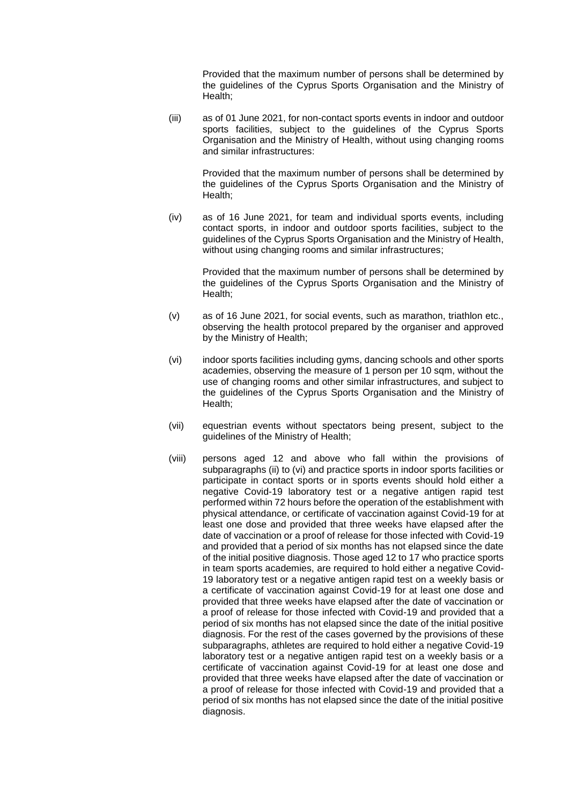Provided that the maximum number of persons shall be determined by the guidelines of the Cyprus Sports Organisation and the Ministry of Health;

(iii) as of 01 June 2021, for non-contact sports events in indoor and outdoor sports facilities, subject to the guidelines of the Cyprus Sports Organisation and the Ministry of Health, without using changing rooms and similar infrastructures:

> Provided that the maximum number of persons shall be determined by the guidelines of the Cyprus Sports Organisation and the Ministry of Health;

(iv) as of 16 June 2021, for team and individual sports events, including contact sports, in indoor and outdoor sports facilities, subject to the guidelines of the Cyprus Sports Organisation and the Ministry of Health, without using changing rooms and similar infrastructures;

Provided that the maximum number of persons shall be determined by the guidelines of the Cyprus Sports Organisation and the Ministry of Health;

- (v) as of 16 June 2021, for social events, such as marathon, triathlon etc., observing the health protocol prepared by the organiser and approved by the Ministry of Health;
- (vi) indoor sports facilities including gyms, dancing schools and other sports academies, observing the measure of 1 person per 10 sqm, without the use of changing rooms and other similar infrastructures, and subject to the guidelines of the Cyprus Sports Organisation and the Ministry of Health;
- (vii) equestrian events without spectators being present, subject to the guidelines of the Ministry of Health;
- (viii) persons aged 12 and above who fall within the provisions of subparagraphs (ii) to (vi) and practice sports in indoor sports facilities or participate in contact sports or in sports events should hold either a negative Covid-19 laboratory test or a negative antigen rapid test performed within 72 hours before the operation of the establishment with physical attendance, or certificate of vaccination against Covid-19 for at least one dose and provided that three weeks have elapsed after the date of vaccination or a proof of release for those infected with Covid-19 and provided that a period of six months has not elapsed since the date of the initial positive diagnosis. Those aged 12 to 17 who practice sports in team sports academies, are required to hold either a negative Covid-19 laboratory test or a negative antigen rapid test on a weekly basis or a certificate of vaccination against Covid-19 for at least one dose and provided that three weeks have elapsed after the date of vaccination or a proof of release for those infected with Covid-19 and provided that a period of six months has not elapsed since the date of the initial positive diagnosis. For the rest of the cases governed by the provisions of these subparagraphs, athletes are required to hold either a negative Covid-19 laboratory test or a negative antigen rapid test on a weekly basis or a certificate of vaccination against Covid-19 for at least one dose and provided that three weeks have elapsed after the date of vaccination or a proof of release for those infected with Covid-19 and provided that a period of six months has not elapsed since the date of the initial positive diagnosis.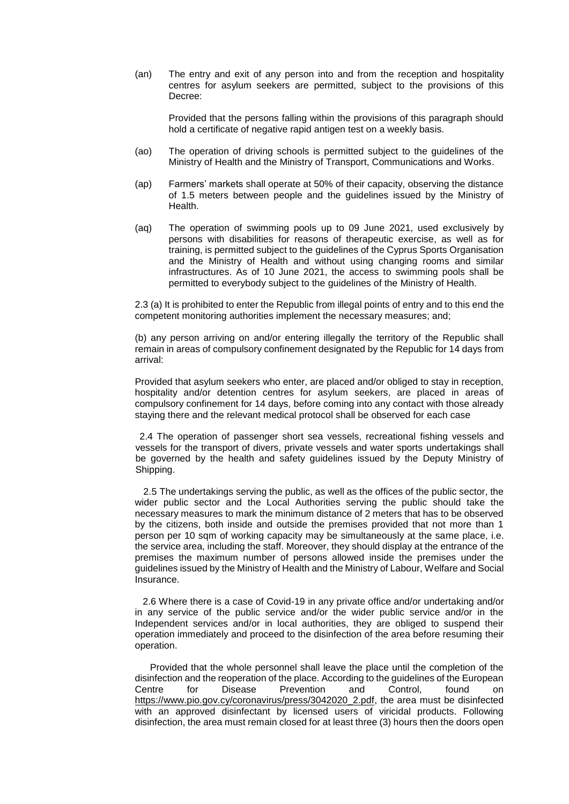(an) The entry and exit of any person into and from the reception and hospitality centres for asylum seekers are permitted, subject to the provisions of this Decree:

Provided that the persons falling within the provisions of this paragraph should hold a certificate of negative rapid antigen test on a weekly basis.

- (ao) The operation of driving schools is permitted subject to the guidelines of the Ministry of Health and the Ministry of Transport, Communications and Works.
- (ap) Farmers' markets shall operate at 50% of their capacity, observing the distance of 1.5 meters between people and the guidelines issued by the Ministry of Health.
- (aq) The operation of swimming pools up to 09 June 2021, used exclusively by persons with disabilities for reasons of therapeutic exercise, as well as for training, is permitted subject to the guidelines of the Cyprus Sports Organisation and the Ministry of Health and without using changing rooms and similar infrastructures. As of 10 June 2021, the access to swimming pools shall be permitted to everybody subject to the guidelines of the Ministry of Health.

2.3 (a) It is prohibited to enter the Republic from illegal points of entry and to this end the competent monitoring authorities implement the necessary measures; and;

(b) any person arriving on and/or entering illegally the territory of the Republic shall remain in areas of compulsory confinement designated by the Republic for 14 days from arrival:

Provided that asylum seekers who enter, are placed and/or obliged to stay in reception, hospitality and/or detention centres for asylum seekers, are placed in areas of compulsory confinement for 14 days, before coming into any contact with those already staying there and the relevant medical protocol shall be observed for each case

2.4 The operation of passenger short sea vessels, recreational fishing vessels and vessels for the transport of divers, private vessels and water sports undertakings shall be governed by the health and safety guidelines issued by the Deputy Ministry of Shipping.

 2.5 The undertakings serving the public, as well as the offices of the public sector, the wider public sector and the Local Authorities serving the public should take the necessary measures to mark the minimum distance of 2 meters that has to be observed by the citizens, both inside and outside the premises provided that not more than 1 person per 10 sqm of working capacity may be simultaneously at the same place, i.e. the service area, including the staff. Moreover, they should display at the entrance of the premises the maximum number of persons allowed inside the premises under the guidelines issued by the Ministry of Health and the Ministry of Labour, Welfare and Social Insurance.

 2.6 Where there is a case of Covid-19 in any private office and/or undertaking and/or in any service of the public service and/or the wider public service and/or in the Independent services and/or in local authorities, they are obliged to suspend their operation immediately and proceed to the disinfection of the area before resuming their operation.

Provided that the whole personnel shall leave the place until the completion of the disinfection and the reoperation of the place. According to the guidelines of the European Centre for Disease Prevention and Control, found on [https://www.pio.gov.cy/coronavirus/press/3042020\\_2.pdf,](https://www.pio.gov.cy/coronavirus/press/3042020_2.pdf) the area must be disinfected with an approved disinfectant by licensed users of viricidal products. Following disinfection, the area must remain closed for at least three (3) hours then the doors open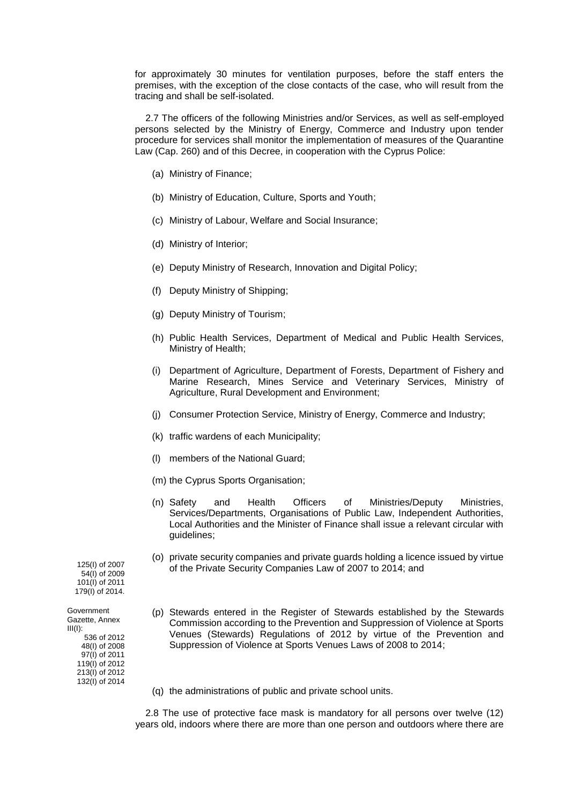for approximately 30 minutes for ventilation purposes, before the staff enters the premises, with the exception of the close contacts of the case, who will result from the tracing and shall be self-isolated.

 2.7 The officers of the following Ministries and/or Services, as well as self-employed persons selected by the Ministry of Energy, Commerce and Industry upon tender procedure for services shall monitor the implementation of measures of the Quarantine Law (Cap. 260) and of this Decree, in cooperation with the Cyprus Police:

- (a) Ministry of Finance;
- (b) Ministry of Education, Culture, Sports and Youth;
- (c) Ministry of Labour, Welfare and Social Insurance;
- (d) Ministry of Interior;
- (e) Deputy Ministry of Research, Innovation and Digital Policy;
- (f) Deputy Ministry of Shipping;
- (g) Deputy Ministry of Tourism;
- (h) Public Health Services, Department of Medical and Public Health Services, Ministry of Health;
- (i) Department of Agriculture, Department of Forests, Department of Fishery and Marine Research, Mines Service and Veterinary Services, Ministry of Agriculture, Rural Development and Environment;
- (j) Consumer Protection Service, Ministry of Energy, Commerce and Industry;
- (k) traffic wardens of each Municipality;
- (l) members of the National Guard;
- (m) the Cyprus Sports Organisation;
- (n) Safety and Health Officers of Ministries/Deputy Ministries, Services/Departments, Organisations of Public Law, Independent Authorities, Local Authorities and the Minister of Finance shall issue a relevant circular with guidelines;
- (o) private security companies and private guards holding a licence issued by virtue of the Private Security Companies Law of 2007 to 2014; and

125(I) of 2007 54(I) of 2009 101(I) of 2011 179(I) of 2014.

- (p) Stewards entered in the Register of Stewards established by the Stewards Commission according to the Prevention and Suppression of Violence at Sports Venues (Stewards) Regulations of 2012 by virtue of the Prevention and Suppression of Violence at Sports Venues Laws of 2008 to 2014;
- (q) the administrations of public and private school units.

 2.8 The use of protective face mask is mandatory for all persons over twelve (12) years old, indoors where there are more than one person and outdoors where there are

Government Gazette, Annex  $III(1)$ : 536 of 2012 48(I) of 2008 97(I) of 2011 119(I) of 2012 213(I) of 2012

132(I) of 2014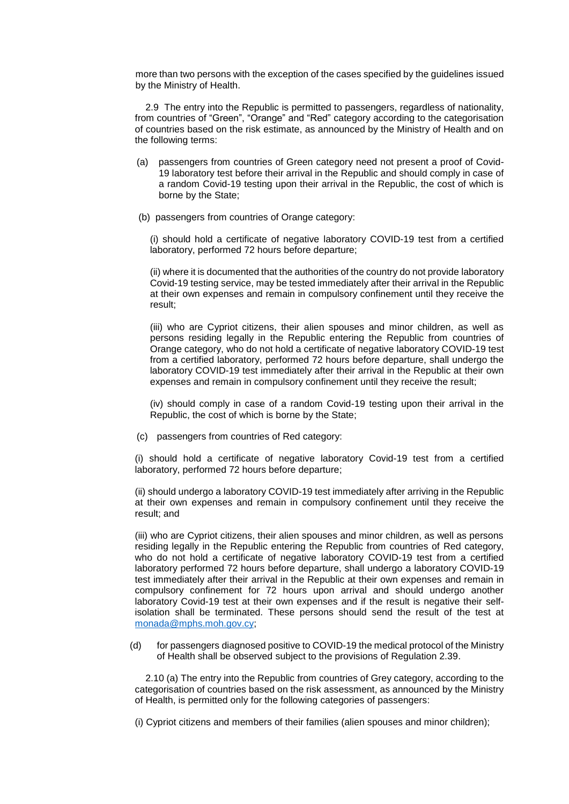more than two persons with the exception of the cases specified by the guidelines issued by the Ministry of Health.

 2.9 The entry into the Republic is permitted to passengers, regardless of nationality, from countries of "Green", "Orange" and "Red" category according to the categorisation of countries based on the risk estimate, as announced by the Ministry of Health and on the following terms:

- (a) passengers from countries of Green category need not present a proof of Covid-19 laboratory test before their arrival in the Republic and should comply in case of a random Covid-19 testing upon their arrival in the Republic, the cost of which is borne by the State;
- (b) passengers from countries of Orange category:

(i) should hold a certificate of negative laboratory COVID-19 test from a certified laboratory, performed 72 hours before departure;

(ii) where it is documented that the authorities of the country do not provide laboratory Covid-19 testing service, may be tested immediately after their arrival in the Republic at their own expenses and remain in compulsory confinement until they receive the result;

(iii) who are Cypriot citizens, their alien spouses and minor children, as well as persons residing legally in the Republic entering the Republic from countries of Orange category, who do not hold a certificate of negative laboratory COVID-19 test from a certified laboratory, performed 72 hours before departure, shall undergo the laboratory COVID-19 test immediately after their arrival in the Republic at their own expenses and remain in compulsory confinement until they receive the result;

(iv) should comply in case of a random Covid-19 testing upon their arrival in the Republic, the cost of which is borne by the State;

(c) passengers from countries of Red category:

(i) should hold a certificate of negative laboratory Covid-19 test from a certified laboratory, performed 72 hours before departure;

(ii) should undergo a laboratory COVID-19 test immediately after arriving in the Republic at their own expenses and remain in compulsory confinement until they receive the result; and

(iii) who are Cypriot citizens, their alien spouses and minor children, as well as persons residing legally in the Republic entering the Republic from countries of Red category, who do not hold a certificate of negative laboratory COVID-19 test from a certified laboratory performed 72 hours before departure, shall undergo a laboratory COVID-19 test immediately after their arrival in the Republic at their own expenses and remain in compulsory confinement for 72 hours upon arrival and should undergo another laboratory Covid-19 test at their own expenses and if the result is negative their selfisolation shall be terminated. These persons should send the result of the test at [monada@mphs.moh.gov.cy;](mailto:monada@mphs.moh.gov.cy)

(d) for passengers diagnosed positive to COVID-19 the medical protocol of the Ministry of Health shall be observed subject to the provisions of Regulation 2.39.

 2.10 (a) The entry into the Republic from countries of Grey category, according to the categorisation of countries based on the risk assessment, as announced by the Ministry of Health, is permitted only for the following categories of passengers:

(i) Cypriot citizens and members of their families (alien spouses and minor children);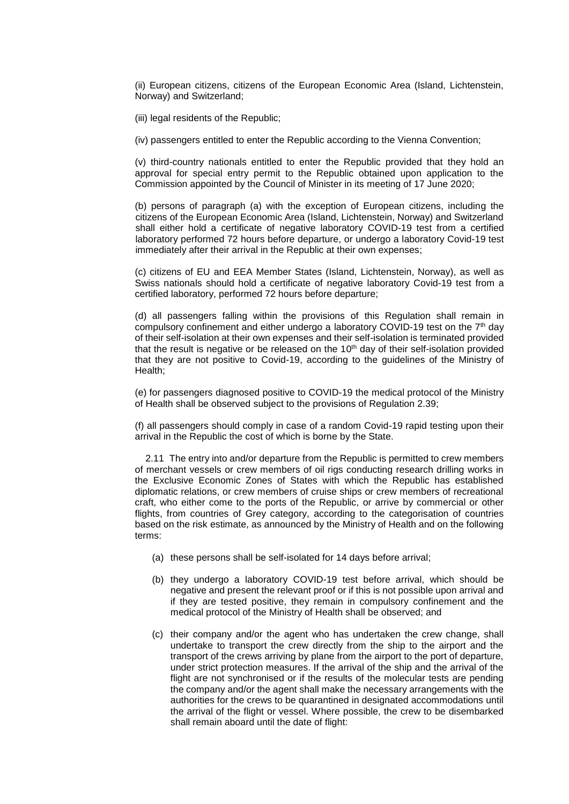(ii) European citizens, citizens of the European Economic Area (Island, Lichtenstein, Norway) and Switzerland;

(iii) legal residents of the Republic;

(iv) passengers entitled to enter the Republic according to the Vienna Convention;

(v) third-country nationals entitled to enter the Republic provided that they hold an approval for special entry permit to the Republic obtained upon application to the Commission appointed by the Council of Minister in its meeting of 17 June 2020;

(b) persons of paragraph (a) with the exception of European citizens, including the citizens of the European Economic Area (Island, Lichtenstein, Norway) and Switzerland shall either hold a certificate of negative laboratory COVID-19 test from a certified laboratory performed 72 hours before departure, or undergo a laboratory Covid-19 test immediately after their arrival in the Republic at their own expenses;

(c) citizens of EU and EEA Member States (Island, Lichtenstein, Norway), as well as Swiss nationals should hold a certificate of negative laboratory Covid-19 test from a certified laboratory, performed 72 hours before departure;

(d) all passengers falling within the provisions of this Regulation shall remain in compulsory confinement and either undergo a laboratory COVID-19 test on the  $7<sup>th</sup>$  day of their self-isolation at their own expenses and their self-isolation is terminated provided that the result is negative or be released on the 10<sup>th</sup> day of their self-isolation provided that they are not positive to Covid-19, according to the guidelines of the Ministry of Health;

(e) for passengers diagnosed positive to COVID-19 the medical protocol of the Ministry of Health shall be observed subject to the provisions of Regulation 2.39;

(f) all passengers should comply in case of a random Covid-19 rapid testing upon their arrival in the Republic the cost of which is borne by the State.

 2.11 The entry into and/or departure from the Republic is permitted to crew members of merchant vessels or crew members of oil rigs conducting research drilling works in the Exclusive Economic Zones of States with which the Republic has established diplomatic relations, or crew members of cruise ships or crew members of recreational craft, who either come to the ports of the Republic, or arrive by commercial or other flights, from countries of Grey category, according to the categorisation of countries based on the risk estimate, as announced by the Ministry of Health and on the following terms:

- (a) these persons shall be self-isolated for 14 days before arrival;
- (b) they undergo a laboratory COVID-19 test before arrival, which should be negative and present the relevant proof or if this is not possible upon arrival and if they are tested positive, they remain in compulsory confinement and the medical protocol of the Ministry of Health shall be observed; and
- (c) their company and/or the agent who has undertaken the crew change, shall undertake to transport the crew directly from the ship to the airport and the transport of the crews arriving by plane from the airport to the port of departure, under strict protection measures. If the arrival of the ship and the arrival of the flight are not synchronised or if the results of the molecular tests are pending the company and/or the agent shall make the necessary arrangements with the authorities for the crews to be quarantined in designated accommodations until the arrival of the flight or vessel. Where possible, the crew to be disembarked shall remain aboard until the date of flight: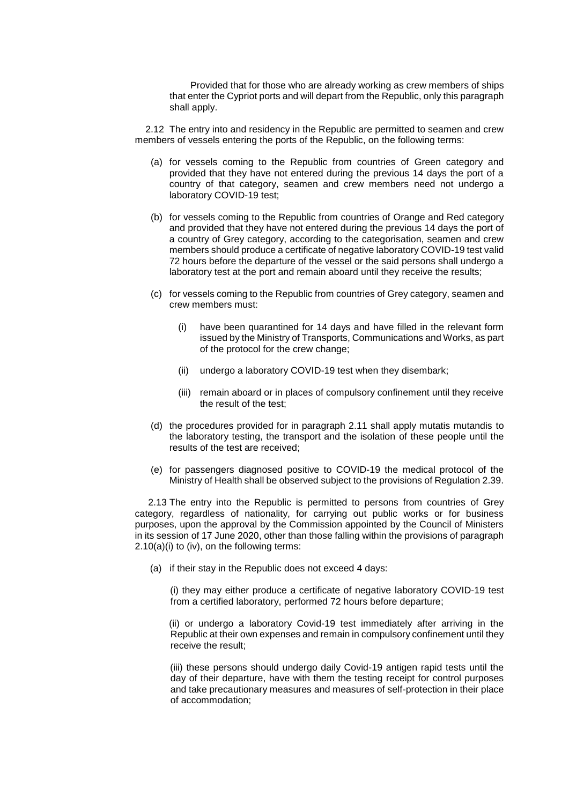Provided that for those who are already working as crew members of ships that enter the Cypriot ports and will depart from the Republic, only this paragraph shall apply.

 2.12 The entry into and residency in the Republic are permitted to seamen and crew members of vessels entering the ports of the Republic, on the following terms:

- (a) for vessels coming to the Republic from countries of Green category and provided that they have not entered during the previous 14 days the port of a country of that category, seamen and crew members need not undergo a laboratory COVID-19 test;
- (b) for vessels coming to the Republic from countries of Orange and Red category and provided that they have not entered during the previous 14 days the port of a country of Grey category, according to the categorisation, seamen and crew members should produce a certificate of negative laboratory COVID-19 test valid 72 hours before the departure of the vessel or the said persons shall undergo a laboratory test at the port and remain aboard until they receive the results;
- (c) for vessels coming to the Republic from countries of Grey category, seamen and crew members must:
	- (i) have been quarantined for 14 days and have filled in the relevant form issued by the Ministry of Transports, Communications and Works, as part of the protocol for the crew change;
	- (ii) undergo a laboratory COVID-19 test when they disembark;
	- (iii) remain aboard or in places of compulsory confinement until they receive the result of the test;
- (d) the procedures provided for in paragraph 2.11 shall apply mutatis mutandis to the laboratory testing, the transport and the isolation of these people until the results of the test are received;
- (e) for passengers diagnosed positive to COVID-19 the medical protocol of the Ministry of Health shall be observed subject to the provisions of Regulation 2.39.

 2.13 The entry into the Republic is permitted to persons from countries of Grey category, regardless of nationality, for carrying out public works or for business purposes, upon the approval by the Commission appointed by the Council of Ministers in its session of 17 June 2020, other than those falling within the provisions of paragraph 2.10(a)(i) to (iv), on the following terms:

(a) if their stay in the Republic does not exceed 4 days:

(i) they may either produce a certificate of negative laboratory COVID-19 test from a certified laboratory, performed 72 hours before departure;

(ii) or undergo a laboratory Covid-19 test immediately after arriving in the Republic at their own expenses and remain in compulsory confinement until they receive the result;

(iii) these persons should undergo daily Covid-19 antigen rapid tests until the day of their departure, have with them the testing receipt for control purposes and take precautionary measures and measures of self-protection in their place of accommodation;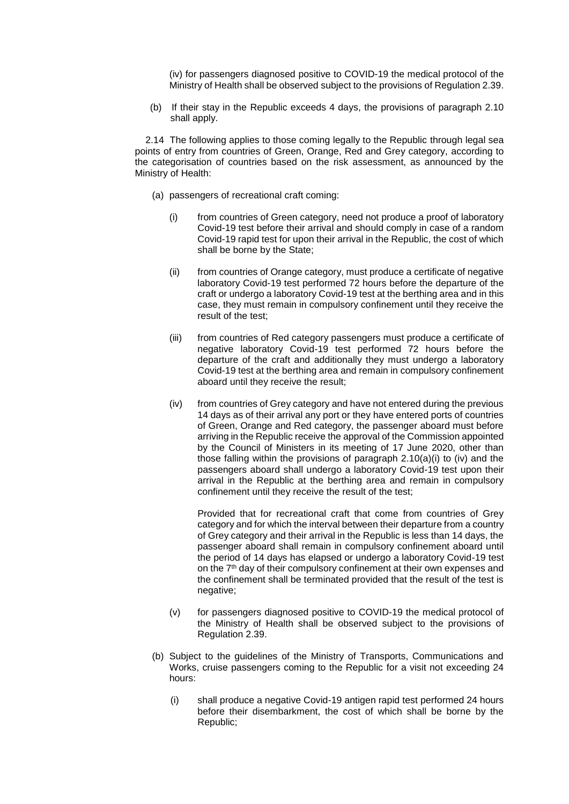(iv) for passengers diagnosed positive to COVID-19 the medical protocol of the Ministry of Health shall be observed subject to the provisions of Regulation 2.39.

(b) If their stay in the Republic exceeds 4 days, the provisions of paragraph 2.10 shall apply.

 2.14 The following applies to those coming legally to the Republic through legal sea points of entry from countries of Green, Orange, Red and Grey category, according to the categorisation of countries based on the risk assessment, as announced by the Ministry of Health:

- (a) passengers of recreational craft coming:
	- (i) from countries of Green category, need not produce a proof of laboratory Covid-19 test before their arrival and should comply in case of a random Covid-19 rapid test for upon their arrival in the Republic, the cost of which shall be borne by the State;
	- (ii) from countries of Orange category, must produce a certificate of negative laboratory Covid-19 test performed 72 hours before the departure of the craft or undergo a laboratory Covid-19 test at the berthing area and in this case, they must remain in compulsory confinement until they receive the result of the test;
	- (iii) from countries of Red category passengers must produce a certificate of negative laboratory Covid-19 test performed 72 hours before the departure of the craft and additionally they must undergo a laboratory Covid-19 test at the berthing area and remain in compulsory confinement aboard until they receive the result;
	- (iv) from countries of Grey category and have not entered during the previous 14 days as of their arrival any port or they have entered ports of countries of Green, Orange and Red category, the passenger aboard must before arriving in the Republic receive the approval of the Commission appointed by the Council of Ministers in its meeting of 17 June 2020, other than those falling within the provisions of paragraph 2.10(a)(i) to (iv) and the passengers aboard shall undergo a laboratory Covid-19 test upon their arrival in the Republic at the berthing area and remain in compulsory confinement until they receive the result of the test;

Provided that for recreational craft that come from countries of Grey category and for which the interval between their departure from a country of Grey category and their arrival in the Republic is less than 14 days, the passenger aboard shall remain in compulsory confinement aboard until the period of 14 days has elapsed or undergo a laboratory Covid-19 test on the 7<sup>th</sup> day of their compulsory confinement at their own expenses and the confinement shall be terminated provided that the result of the test is negative;

- (v) for passengers diagnosed positive to COVID-19 the medical protocol of the Ministry of Health shall be observed subject to the provisions of Regulation 2.39.
- (b) Subject to the guidelines of the Ministry of Transports, Communications and Works, cruise passengers coming to the Republic for a visit not exceeding 24 hours:
	- (i) shall produce a negative Covid-19 antigen rapid test performed 24 hours before their disembarkment, the cost of which shall be borne by the Republic;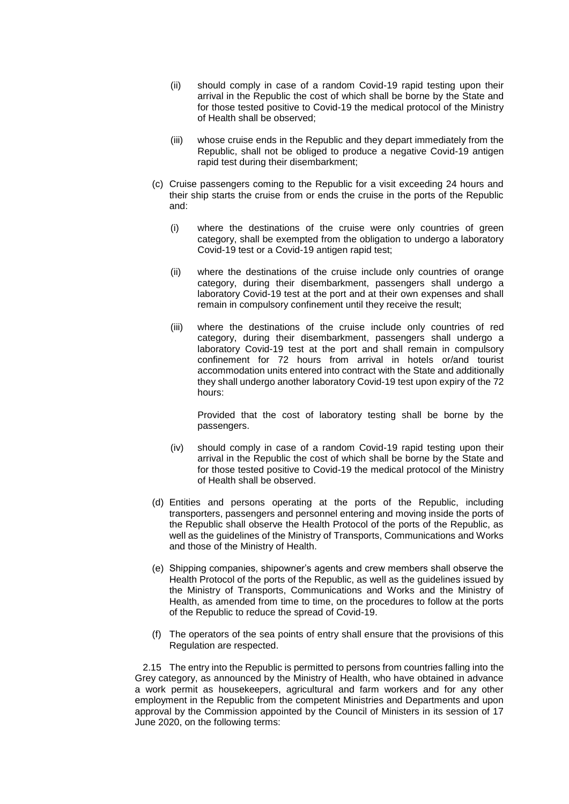- (ii) should comply in case of a random Covid-19 rapid testing upon their arrival in the Republic the cost of which shall be borne by the State and for those tested positive to Covid-19 the medical protocol of the Ministry of Health shall be observed;
- (iii) whose cruise ends in the Republic and they depart immediately from the Republic, shall not be obliged to produce a negative Covid-19 antigen rapid test during their disembarkment;
- (c) Cruise passengers coming to the Republic for a visit exceeding 24 hours and their ship starts the cruise from or ends the cruise in the ports of the Republic and:
	- (i) where the destinations of the cruise were only countries of green category, shall be exempted from the obligation to undergo a laboratory Covid-19 test or a Covid-19 antigen rapid test;
	- (ii) where the destinations of the cruise include only countries of orange category, during their disembarkment, passengers shall undergo a laboratory Covid-19 test at the port and at their own expenses and shall remain in compulsory confinement until they receive the result;
	- (iii) where the destinations of the cruise include only countries of red category, during their disembarkment, passengers shall undergo a laboratory Covid-19 test at the port and shall remain in compulsory confinement for 72 hours from arrival in hotels or/and tourist accommodation units entered into contract with the State and additionally they shall undergo another laboratory Covid-19 test upon expiry of the 72 hours:

Provided that the cost of laboratory testing shall be borne by the passengers.

- (iv) should comply in case of a random Covid-19 rapid testing upon their arrival in the Republic the cost of which shall be borne by the State and for those tested positive to Covid-19 the medical protocol of the Ministry of Health shall be observed.
- (d) Entities and persons operating at the ports of the Republic, including transporters, passengers and personnel entering and moving inside the ports of the Republic shall observe the Health Protocol of the ports of the Republic, as well as the guidelines of the Ministry of Transports, Communications and Works and those of the Ministry of Health.
- (e) Shipping companies, shipowner's agents and crew members shall observe the Health Protocol of the ports of the Republic, as well as the guidelines issued by the Ministry of Transports, Communications and Works and the Ministry of Health, as amended from time to time, on the procedures to follow at the ports of the Republic to reduce the spread of Covid-19.
- (f) The operators of the sea points of entry shall ensure that the provisions of this Regulation are respected.

 2.15 The entry into the Republic is permitted to persons from countries falling into the Grey category, as announced by the Ministry of Health, who have obtained in advance a work permit as housekeepers, agricultural and farm workers and for any other employment in the Republic from the competent Ministries and Departments and upon approval by the Commission appointed by the Council of Ministers in its session of 17 June 2020, on the following terms: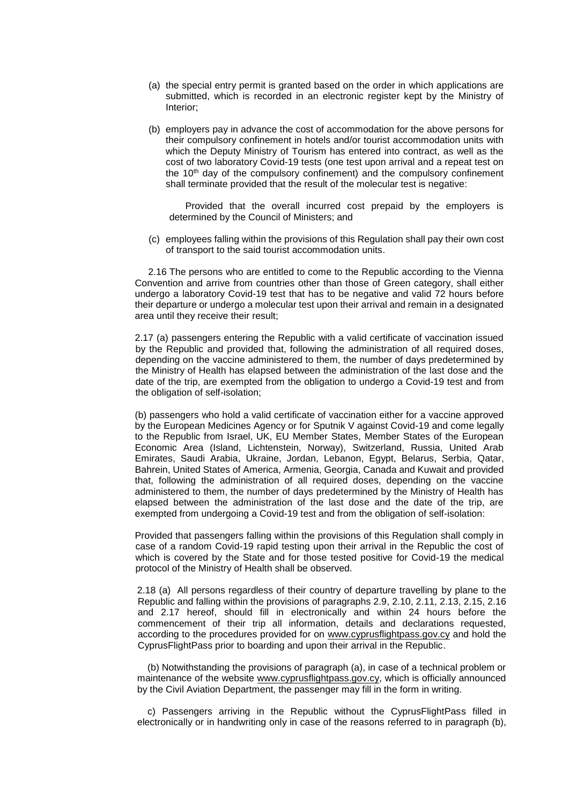- (a) the special entry permit is granted based on the order in which applications are submitted, which is recorded in an electronic register kept by the Ministry of Interior;
- (b) employers pay in advance the cost of accommodation for the above persons for their compulsory confinement in hotels and/or tourist accommodation units with which the Deputy Ministry of Tourism has entered into contract, as well as the cost of two laboratory Covid-19 tests (one test upon arrival and a repeat test on the  $10<sup>th</sup>$  day of the compulsory confinement) and the compulsory confinement shall terminate provided that the result of the molecular test is negative:

 Provided that the overall incurred cost prepaid by the employers is determined by the Council of Ministers; and

(c) employees falling within the provisions of this Regulation shall pay their own cost of transport to the said tourist accommodation units.

 2.16 The persons who are entitled to come to the Republic according to the Vienna Convention and arrive from countries other than those of Green category, shall either undergo a laboratory Covid-19 test that has to be negative and valid 72 hours before their departure or undergo a molecular test upon their arrival and remain in a designated area until they receive their result;

2.17 (a) passengers entering the Republic with a valid certificate of vaccination issued by the Republic and provided that, following the administration of all required doses, depending on the vaccine administered to them, the number of days predetermined by the Ministry of Health has elapsed between the administration of the last dose and the date of the trip, are exempted from the obligation to undergo a Covid-19 test and from the obligation of self-isolation;

(b) passengers who hold a valid certificate of vaccination either for a vaccine approved by the European Medicines Agency or for Sputnik V against Covid-19 and come legally to the Republic from Israel, UK, EU Member States, Member States of the European Economic Area (Island, Lichtenstein, Norway), Switzerland, Russia, United Arab Emirates, Saudi Arabia, Ukraine, Jordan, Lebanon, Egypt, Belarus, Serbia, Qatar, Bahrein, United States of America, Armenia, Georgia, Canada and Kuwait and provided that, following the administration of all required doses, depending on the vaccine administered to them, the number of days predetermined by the Ministry of Health has elapsed between the administration of the last dose and the date of the trip, are exempted from undergoing a Covid-19 test and from the obligation of self-isolation:

Provided that passengers falling within the provisions of this Regulation shall comply in case of a random Covid-19 rapid testing upon their arrival in the Republic the cost of which is covered by the State and for those tested positive for Covid-19 the medical protocol of the Ministry of Health shall be observed.

2.18 (a) All persons regardless of their country of departure travelling by plane to the Republic and falling within the provisions of paragraphs 2.9, 2.10, 2.11, 2.13, 2.15, 2.16 and 2.17 hereof, should fill in electronically and within 24 hours before the commencement of their trip all information, details and declarations requested, according to the procedures provided for on [www.cyprusflightpass.gov.cy](http://www.cyprusflightpass.gov.cy/) and hold the CyprusFlightPass prior to boarding and upon their arrival in the Republic.

(b) Notwithstanding the provisions of paragraph (a), in case of a technical problem or maintenance of the website [www.cyprusflightpass.gov.cy,](http://www.cyprusflightpass.gov.cy/) which is officially announced by the Civil Aviation Department, the passenger may fill in the form in writing.

c) Passengers arriving in the Republic without the CyprusFlightPass filled in electronically or in handwriting only in case of the reasons referred to in paragraph (b),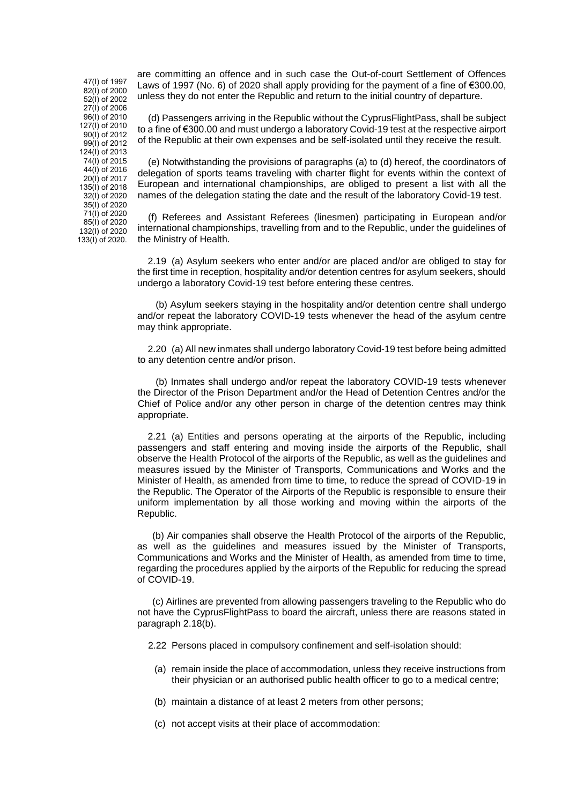82(I) of 2000 52(Ι) of 2002 27(Ι) of 2006 96(Ι) of 2010 127(Ι) of 2010 90(Ι) of 2012 99(Ι) of 2012 124(Ι) of 2013 74(I) of 2015 44(I) of 2016 20(Ι) of 2017 135(I) of 2018 32(I) of 2020 35(Ι) of 2020 71(Ι) of 2020 85(Ι) of 2020 132(I) of 2020 133(Ι) of 2020.

47(Ι) of 1997

are committing an offence and in such case the Out-of-court Settlement of Offences Laws of 1997 (No. 6) of 2020 shall apply providing for the payment of a fine of €300.00, unless they do not enter the Republic and return to the initial country of departure.

(d) Passengers arriving in the Republic without the CyprusFlightPass, shall be subject to a fine of €300.00 and must undergo a laboratory Covid-19 test at the respective airport of the Republic at their own expenses and be self-isolated until they receive the result.

(e) Notwithstanding the provisions of paragraphs (a) to (d) hereof, the coordinators of delegation of sports teams traveling with charter flight for events within the context of European and international championships, are obliged to present a list with all the names of the delegation stating the date and the result of the laboratory Covid-19 test.

(f) Referees and Assistant Referees (linesmen) participating in European and/or international championships, travelling from and to the Republic, under the guidelines of the Ministry of Health.

 2.19 (a) Asylum seekers who enter and/or are placed and/or are obliged to stay for the first time in reception, hospitality and/or detention centres for asylum seekers, should undergo a laboratory Covid-19 test before entering these centres.

 (b) Asylum seekers staying in the hospitality and/or detention centre shall undergo and/or repeat the laboratory COVID-19 tests whenever the head of the asylum centre may think appropriate.

 2.20 (a) All new inmates shall undergo laboratory Covid-19 test before being admitted to any detention centre and/or prison.

 (b) Inmates shall undergo and/or repeat the laboratory COVID-19 tests whenever the Director of the Prison Department and/or the Head of Detention Centres and/or the Chief of Police and/or any other person in charge of the detention centres may think appropriate.

 2.21 (a) Entities and persons operating at the airports of the Republic, including passengers and staff entering and moving inside the airports of the Republic, shall observe the Health Protocol of the airports of the Republic, as well as the guidelines and measures issued by the Minister of Transports, Communications and Works and the Minister of Health, as amended from time to time, to reduce the spread of COVID-19 in the Republic. The Operator of the Airports of the Republic is responsible to ensure their uniform implementation by all those working and moving within the airports of the Republic.

(b) Air companies shall observe the Health Protocol of the airports of the Republic, as well as the guidelines and measures issued by the Minister of Transports, Communications and Works and the Minister of Health, as amended from time to time, regarding the procedures applied by the airports of the Republic for reducing the spread of COVID-19.

(c) Airlines are prevented from allowing passengers traveling to the Republic who do not have the CyprusFlightPass to board the aircraft, unless there are reasons stated in paragraph 2.18(b).

2.22 Persons placed in compulsory confinement and self-isolation should:

- (a) remain inside the place of accommodation, unless they receive instructions from their physician or an authorised public health officer to go to a medical centre;
- (b) maintain a distance of at least 2 meters from other persons;
- (c) not accept visits at their place of accommodation: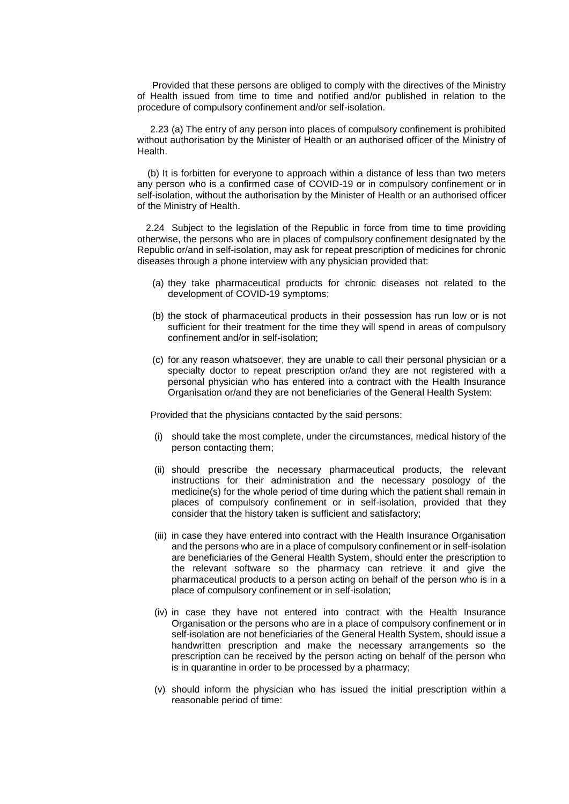Provided that these persons are obliged to comply with the directives of the Ministry of Health issued from time to time and notified and/or published in relation to the procedure of compulsory confinement and/or self-isolation.

2.23 (a) The entry of any person into places of compulsory confinement is prohibited without authorisation by the Minister of Health or an authorised officer of the Ministry of Health.

(b) It is forbitten for everyone to approach within a distance of less than two meters any person who is a confirmed case of COVID-19 or in compulsory confinement or in self-isolation, without the authorisation by the Minister of Health or an authorised officer of the Ministry of Health.

2.24 Subject to the legislation of the Republic in force from time to time providing otherwise, the persons who are in places of compulsory confinement designated by the Republic or/and in self-isolation, may ask for repeat prescription of medicines for chronic diseases through a phone interview with any physician provided that:

- (a) they take pharmaceutical products for chronic diseases not related to the development of COVID-19 symptoms;
- (b) the stock of pharmaceutical products in their possession has run low or is not sufficient for their treatment for the time they will spend in areas of compulsory confinement and/or in self-isolation;
- (c) for any reason whatsoever, they are unable to call their personal physician or a specialty doctor to repeat prescription or/and they are not registered with a personal physician who has entered into a contract with the Health Insurance Organisation or/and they are not beneficiaries of the General Health System:

Provided that the physicians contacted by the said persons:

- (i) should take the most complete, under the circumstances, medical history of the person contacting them;
- (ii) should prescribe the necessary pharmaceutical products, the relevant instructions for their administration and the necessary posology of the medicine(s) for the whole period of time during which the patient shall remain in places of compulsory confinement or in self-isolation, provided that they consider that the history taken is sufficient and satisfactory;
- (iii) in case they have entered into contract with the Health Insurance Organisation and the persons who are in a place of compulsory confinement or in self-isolation are beneficiaries of the General Health System, should enter the prescription to the relevant software so the pharmacy can retrieve it and give the pharmaceutical products to a person acting on behalf of the person who is in a place of compulsory confinement or in self-isolation;
- (iv) in case they have not entered into contract with the Health Insurance Organisation or the persons who are in a place of compulsory confinement or in self-isolation are not beneficiaries of the General Health System, should issue a handwritten prescription and make the necessary arrangements so the prescription can be received by the person acting on behalf of the person who is in quarantine in order to be processed by a pharmacy;
- (v) should inform the physician who has issued the initial prescription within a reasonable period of time: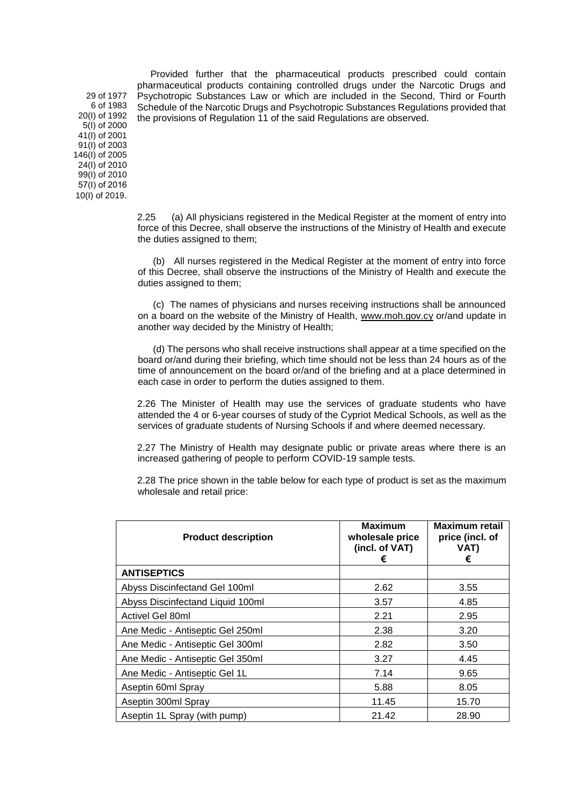Provided further that the pharmaceutical products prescribed could contain pharmaceutical products containing controlled drugs under the Narcotic Drugs and Psychotropic Substances Law or which are included in the Second, Third or Fourth Schedule of the Narcotic Drugs and Psychotropic Substances Regulations provided that the provisions of Regulation 11 of the said Regulations are observed.

29 of 1977 6 of 1983 20(I) of 1992 5(I) of 2000 41(I) of 2001 91(I) of 2003 146(I) of 2005 24(I) of 2010 99(I) of 2010 57(Ι) of 2016 10(I) of 2019.

> 2.25 (a) All physicians registered in the Medical Register at the moment of entry into force of this Decree, shall observe the instructions of the Ministry of Health and execute the duties assigned to them;

> (b) All nurses registered in the Medical Register at the moment of entry into force of this Decree, shall observe the instructions of the Ministry of Health and execute the duties assigned to them;

> (c) The names of physicians and nurses receiving instructions shall be announced on a board on the website of the Ministry of Health, [www.moh.gov.cy](http://www.moh.gov.cy/) or/and update in another way decided by the Ministry of Health;

> (d) The persons who shall receive instructions shall appear at a time specified on the board or/and during their briefing, which time should not be less than 24 hours as of the time of announcement on the board or/and of the briefing and at a place determined in each case in order to perform the duties assigned to them.

> 2.26 The Minister of Health may use the services of graduate students who have attended the 4 or 6-year courses of study of the Cypriot Medical Schools, as well as the services of graduate students of Nursing Schools if and where deemed necessary.

> 2.27 The Ministry of Health may designate public or private areas where there is an increased gathering of people to perform COVID-19 sample tests.

> 2.28 The price shown in the table below for each type of product is set as the maximum wholesale and retail price:

| <b>Product description</b>       | <b>Maximum</b><br>wholesale price<br>(incl. of VAT)<br>€ | <b>Maximum retail</b><br>price (incl. of<br>VAT)<br>€ |
|----------------------------------|----------------------------------------------------------|-------------------------------------------------------|
| <b>ANTISEPTICS</b>               |                                                          |                                                       |
| Abyss Discinfectand Gel 100ml    | 2.62                                                     | 3.55                                                  |
| Abyss Discinfectand Liquid 100ml | 3.57                                                     | 4.85                                                  |
| Activel Gel 80ml                 | 2.21                                                     | 2.95                                                  |
| Ane Medic - Antiseptic Gel 250ml | 2.38                                                     | 3.20                                                  |
| Ane Medic - Antiseptic Gel 300ml | 2.82                                                     | 3.50                                                  |
| Ane Medic - Antiseptic Gel 350ml | 3.27                                                     | 4.45                                                  |
| Ane Medic - Antiseptic Gel 1L    | 7.14                                                     | 9.65                                                  |
| Aseptin 60ml Spray               | 5.88                                                     | 8.05                                                  |
| Aseptin 300ml Spray              | 11.45                                                    | 15.70                                                 |
| Aseptin 1L Spray (with pump)     | 21.42                                                    | 28.90                                                 |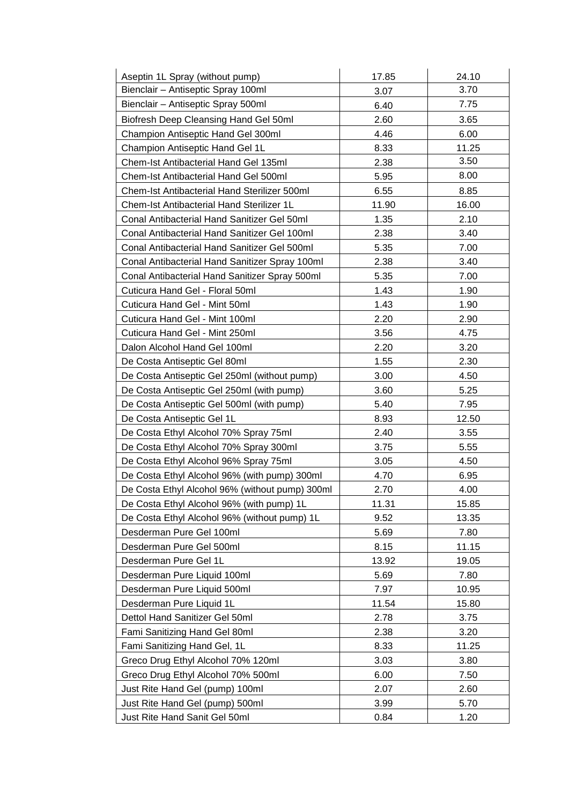| Aseptin 1L Spray (without pump)                 | 17.85 | 24.10 |
|-------------------------------------------------|-------|-------|
| Bienclair - Antiseptic Spray 100ml              | 3.07  | 3.70  |
| Bienclair - Antiseptic Spray 500ml              | 6.40  | 7.75  |
| Biofresh Deep Cleansing Hand Gel 50ml           | 2.60  | 3.65  |
| Champion Antiseptic Hand Gel 300ml              | 4.46  | 6.00  |
| Champion Antiseptic Hand Gel 1L                 | 8.33  | 11.25 |
| Chem-Ist Antibacterial Hand Gel 135ml           | 2.38  | 3.50  |
| Chem-Ist Antibacterial Hand Gel 500ml           | 5.95  | 8.00  |
| Chem-Ist Antibacterial Hand Sterilizer 500ml    | 6.55  | 8.85  |
| Chem-Ist Antibacterial Hand Sterilizer 1L       | 11.90 | 16.00 |
| Conal Antibacterial Hand Sanitizer Gel 50ml     | 1.35  | 2.10  |
| Conal Antibacterial Hand Sanitizer Gel 100ml    | 2.38  | 3.40  |
| Conal Antibacterial Hand Sanitizer Gel 500ml    | 5.35  | 7.00  |
| Conal Antibacterial Hand Sanitizer Spray 100ml  | 2.38  | 3.40  |
| Conal Antibacterial Hand Sanitizer Spray 500ml  | 5.35  | 7.00  |
| Cuticura Hand Gel - Floral 50ml                 | 1.43  | 1.90  |
| Cuticura Hand Gel - Mint 50ml                   | 1.43  | 1.90  |
| Cuticura Hand Gel - Mint 100ml                  | 2.20  | 2.90  |
| Cuticura Hand Gel - Mint 250ml                  | 3.56  | 4.75  |
| Dalon Alcohol Hand Gel 100ml                    | 2.20  | 3.20  |
| De Costa Antiseptic Gel 80ml                    | 1.55  | 2.30  |
| De Costa Antiseptic Gel 250ml (without pump)    | 3.00  | 4.50  |
| De Costa Antiseptic Gel 250ml (with pump)       | 3.60  | 5.25  |
| De Costa Antiseptic Gel 500ml (with pump)       | 5.40  | 7.95  |
| De Costa Antiseptic Gel 1L                      | 8.93  | 12.50 |
| De Costa Ethyl Alcohol 70% Spray 75ml           | 2.40  | 3.55  |
| De Costa Ethyl Alcohol 70% Spray 300ml          | 3.75  | 5.55  |
| De Costa Ethyl Alcohol 96% Spray 75ml           | 3.05  | 4.50  |
| De Costa Ethyl Alcohol 96% (with pump) 300ml    | 4.70  | 6.95  |
| De Costa Ethyl Alcohol 96% (without pump) 300ml | 2.70  | 4.00  |
| De Costa Ethyl Alcohol 96% (with pump) 1L       | 11.31 | 15.85 |
| De Costa Ethyl Alcohol 96% (without pump) 1L    | 9.52  | 13.35 |
| Desderman Pure Gel 100ml                        | 5.69  | 7.80  |
| Desderman Pure Gel 500ml                        | 8.15  | 11.15 |
| Desderman Pure Gel 1L                           | 13.92 | 19.05 |
| Desderman Pure Liquid 100ml                     | 5.69  | 7.80  |
| Desderman Pure Liquid 500ml                     | 7.97  | 10.95 |
| Desderman Pure Liquid 1L                        | 11.54 | 15.80 |
| Dettol Hand Sanitizer Gel 50ml                  | 2.78  | 3.75  |
| Fami Sanitizing Hand Gel 80ml                   | 2.38  | 3.20  |
| Fami Sanitizing Hand Gel, 1L                    | 8.33  | 11.25 |
| Greco Drug Ethyl Alcohol 70% 120ml              | 3.03  | 3.80  |
| Greco Drug Ethyl Alcohol 70% 500ml              | 6.00  | 7.50  |
| Just Rite Hand Gel (pump) 100ml                 | 2.07  | 2.60  |
| Just Rite Hand Gel (pump) 500ml                 | 3.99  | 5.70  |
| Just Rite Hand Sanit Gel 50ml                   | 0.84  | 1.20  |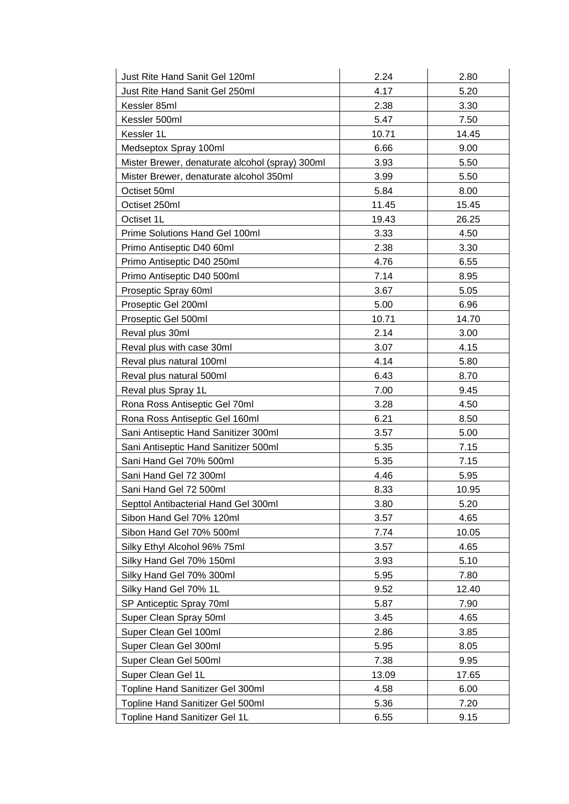| Just Rite Hand Sanit Gel 120ml                  | 2.24  | 2.80  |
|-------------------------------------------------|-------|-------|
| Just Rite Hand Sanit Gel 250ml                  | 4.17  | 5.20  |
| Kessler 85ml                                    | 2.38  | 3.30  |
| Kessler 500ml                                   | 5.47  | 7.50  |
| Kessler 1L                                      | 10.71 | 14.45 |
| Medseptox Spray 100ml                           | 6.66  | 9.00  |
| Mister Brewer, denaturate alcohol (spray) 300ml | 3.93  | 5.50  |
| Mister Brewer, denaturate alcohol 350ml         | 3.99  | 5.50  |
| Octiset 50ml                                    | 5.84  | 8.00  |
| Octiset 250ml                                   | 11.45 | 15.45 |
| Octiset 1L                                      | 19.43 | 26.25 |
| Prime Solutions Hand Gel 100ml                  | 3.33  | 4.50  |
| Primo Antiseptic D40 60ml                       | 2.38  | 3.30  |
| Primo Antiseptic D40 250ml                      | 4.76  | 6.55  |
| Primo Antiseptic D40 500ml                      | 7.14  | 8.95  |
| Proseptic Spray 60ml                            | 3.67  | 5.05  |
| Proseptic Gel 200ml                             | 5.00  | 6.96  |
| Proseptic Gel 500ml                             | 10.71 | 14.70 |
| Reval plus 30ml                                 | 2.14  | 3.00  |
| Reval plus with case 30ml                       | 3.07  | 4.15  |
| Reval plus natural 100ml                        | 4.14  | 5.80  |
| Reval plus natural 500ml                        | 6.43  | 8.70  |
| Reval plus Spray 1L                             | 7.00  | 9.45  |
| Rona Ross Antiseptic Gel 70ml                   | 3.28  | 4.50  |
| Rona Ross Antiseptic Gel 160ml                  | 6.21  | 8.50  |
| Sani Antiseptic Hand Sanitizer 300ml            | 3.57  | 5.00  |
| Sani Antiseptic Hand Sanitizer 500ml            | 5.35  | 7.15  |
| Sani Hand Gel 70% 500ml                         | 5.35  | 7.15  |
| Sani Hand Gel 72 300ml                          | 4.46  | 5.95  |
| Sani Hand Gel 72 500ml                          | 8.33  | 10.95 |
| Septtol Antibacterial Hand Gel 300ml            | 3.80  | 5.20  |
| Sibon Hand Gel 70% 120ml                        | 3.57  | 4.65  |
| Sibon Hand Gel 70% 500ml                        | 7.74  | 10.05 |
| Silky Ethyl Alcohol 96% 75ml                    | 3.57  | 4.65  |
| Silky Hand Gel 70% 150ml                        | 3.93  | 5.10  |
| Silky Hand Gel 70% 300ml                        | 5.95  | 7.80  |
| Silky Hand Gel 70% 1L                           | 9.52  | 12.40 |
| SP Anticeptic Spray 70ml                        | 5.87  | 7.90  |
| Super Clean Spray 50ml                          | 3.45  | 4.65  |
| Super Clean Gel 100ml                           | 2.86  | 3.85  |
| Super Clean Gel 300ml                           | 5.95  | 8.05  |
| Super Clean Gel 500ml                           | 7.38  | 9.95  |
| Super Clean Gel 1L                              | 13.09 | 17.65 |
| Topline Hand Sanitizer Gel 300ml                | 4.58  | 6.00  |
| Topline Hand Sanitizer Gel 500ml                | 5.36  | 7.20  |
| Topline Hand Sanitizer Gel 1L                   | 6.55  | 9.15  |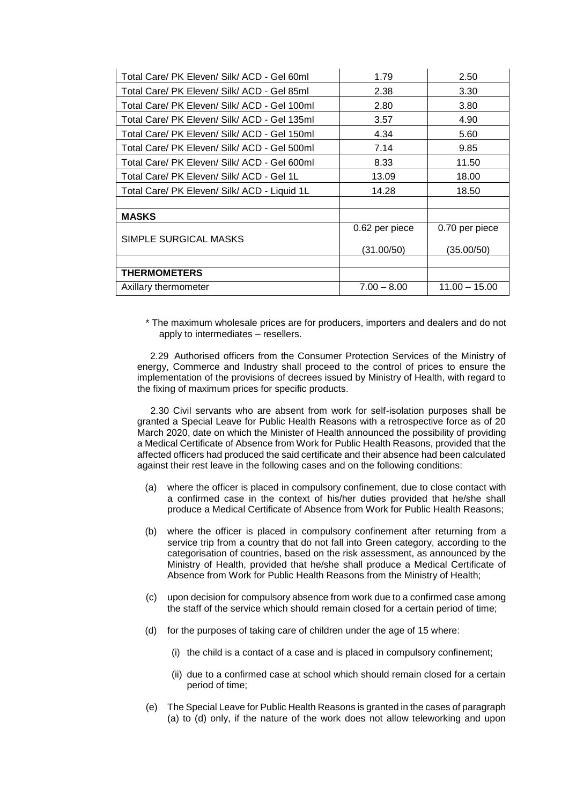| Total Care/ PK Eleven/ Silk/ ACD - Gel 60ml  | 1.79           | 2.50            |
|----------------------------------------------|----------------|-----------------|
| Total Care/ PK Eleven/ Silk/ ACD - Gel 85ml  | 2.38           | 3.30            |
| Total Care/ PK Eleven/ Silk/ ACD - Gel 100ml | 2.80           | 3.80            |
| Total Care/ PK Eleven/ Silk/ ACD - Gel 135ml | 3.57           | 4.90            |
| Total Care/ PK Eleven/ Silk/ ACD - Gel 150ml | 4.34           | 5.60            |
| Total Care/ PK Eleven/ Silk/ ACD - Gel 500ml | 7.14           | 9.85            |
| Total Care/ PK Eleven/ Silk/ ACD - Gel 600ml | 8.33           | 11.50           |
| Total Care/ PK Eleven/ Silk/ ACD - Gel 1L    | 13.09          | 18.00           |
| Total Care/ PK Eleven/ Silk/ ACD - Liquid 1L | 14.28          | 18.50           |
|                                              |                |                 |
| <b>MASKS</b>                                 |                |                 |
|                                              | 0.62 per piece | 0.70 per piece  |
| SIMPLE SURGICAL MASKS                        | (31.00/50)     | (35.00/50)      |
|                                              |                |                 |
| <b>THERMOMETERS</b>                          |                |                 |
| Axillary thermometer                         | $7.00 - 8.00$  | $11.00 - 15.00$ |

\* The maximum wholesale prices are for producers, importers and dealers and do not apply to intermediates – resellers.

2.29 Authorised officers from the Consumer Protection Services of the Ministry of energy, Commerce and Industry shall proceed to the control of prices to ensure the implementation of the provisions of decrees issued by Ministry of Health, with regard to the fixing of maximum prices for specific products.

 2.30 Civil servants who are absent from work for self-isolation purposes shall be granted a Special Leave for Public Health Reasons with a retrospective force as of 20 March 2020, date on which the Minister of Health announced the possibility of providing a Medical Certificate of Absence from Work for Public Health Reasons, provided that the affected officers had produced the said certificate and their absence had been calculated against their rest leave in the following cases and on the following conditions:

- (a) where the officer is placed in compulsory confinement, due to close contact with a confirmed case in the context of his/her duties provided that he/she shall produce a Medical Certificate of Absence from Work for Public Health Reasons;
- (b) where the officer is placed in compulsory confinement after returning from a service trip from a country that do not fall into Green category, according to the categorisation of countries, based on the risk assessment, as announced by the Ministry of Health, provided that he/she shall produce a Medical Certificate of Absence from Work for Public Health Reasons from the Ministry of Health;
- (c) upon decision for compulsory absence from work due to a confirmed case among the staff of the service which should remain closed for a certain period of time;
- (d) for the purposes of taking care of children under the age of 15 where:
	- (i) the child is a contact of a case and is placed in compulsory confinement;
	- (ii) due to a confirmed case at school which should remain closed for a certain period of time;
- (e) The Special Leave for Public Health Reasons is granted in the cases of paragraph (a) to (d) only, if the nature of the work does not allow teleworking and upon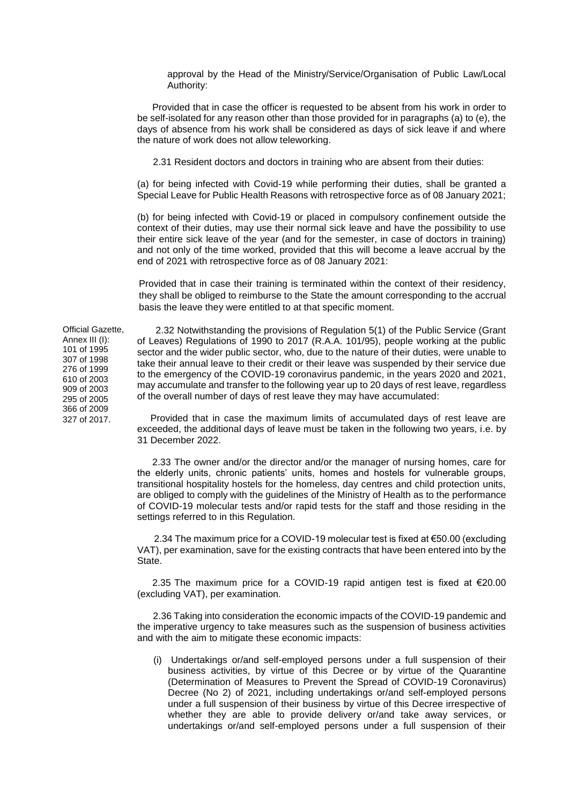approval by the Head of the Ministry/Service/Organisation of Public Law/Local Authority:

Provided that in case the officer is requested to be absent from his work in order to be self-isolated for any reason other than those provided for in paragraphs (a) to (e), the days of absence from his work shall be considered as days of sick leave if and where the nature of work does not allow teleworking.

2.31 Resident doctors and doctors in training who are absent from their duties:

(a) for being infected with Covid-19 while performing their duties, shall be granted a Special Leave for Public Health Reasons with retrospective force as of 08 January 2021;

(b) for being infected with Covid-19 or placed in compulsory confinement outside the context of their duties, may use their normal sick leave and have the possibility to use their entire sick leave of the year (and for the semester, in case of doctors in training) and not only of the time worked, provided that this will become a leave accrual by the end of 2021 with retrospective force as of 08 January 2021:

Provided that in case their training is terminated within the context of their residency, they shall be obliged to reimburse to the State the amount corresponding to the accrual basis the leave they were entitled to at that specific moment.

Official Gazette, Annex III (I): 101 of 1995 307 of 1998 276 of 1999 610 of 2003 909 of 2003 295 of 2005 366 of 2009

327 of 2017.

 2.32 Notwithstanding the provisions of Regulation 5(1) of the Public Service (Grant of Leaves) Regulations of 1990 to 2017 (R.A.A. 101/95), people working at the public sector and the wider public sector, who, due to the nature of their duties, were unable to take their annual leave to their credit or their leave was suspended by their service due to the emergency of the COVID-19 coronavirus pandemic, in the years 2020 and 2021, may accumulate and transfer to the following year up to 20 days of rest leave, regardless of the overall number of days of rest leave they may have accumulated:

 Provided that in case the maximum limits of accumulated days of rest leave are exceeded, the additional days of leave must be taken in the following two years, i.e. by 31 December 2022.

2.33 The owner and/or the director and/or the manager of nursing homes, care for the elderly units, chronic patients' units, homes and hostels for vulnerable groups, transitional hospitality hostels for the homeless, day centres and child protection units, are obliged to comply with the guidelines of the Ministry of Health as to the performance of COVID-19 molecular tests and/or rapid tests for the staff and those residing in the settings referred to in this Regulation.

2.34 The maximum price for a COVID-19 molecular test is fixed at €50.00 (excluding VAT), per examination, save for the existing contracts that have been entered into by the **State** 

2.35 The maximum price for a COVID-19 rapid antigen test is fixed at €20.00 (excluding VAT), per examination.

 2.36 Taking into consideration the economic impacts of the COVID-19 pandemic and the imperative urgency to take measures such as the suspension of business activities and with the aim to mitigate these economic impacts:

(i) Undertakings or/and self-employed persons under a full suspension of their business activities, by virtue of this Decree or by virtue of the Quarantine (Determination of Measures to Prevent the Spread of COVID-19 Coronavirus) Decree (No 2) of 2021, including undertakings or/and self-employed persons under a full suspension of their business by virtue of this Decree irrespective of whether they are able to provide delivery or/and take away services, or undertakings or/and self-employed persons under a full suspension of their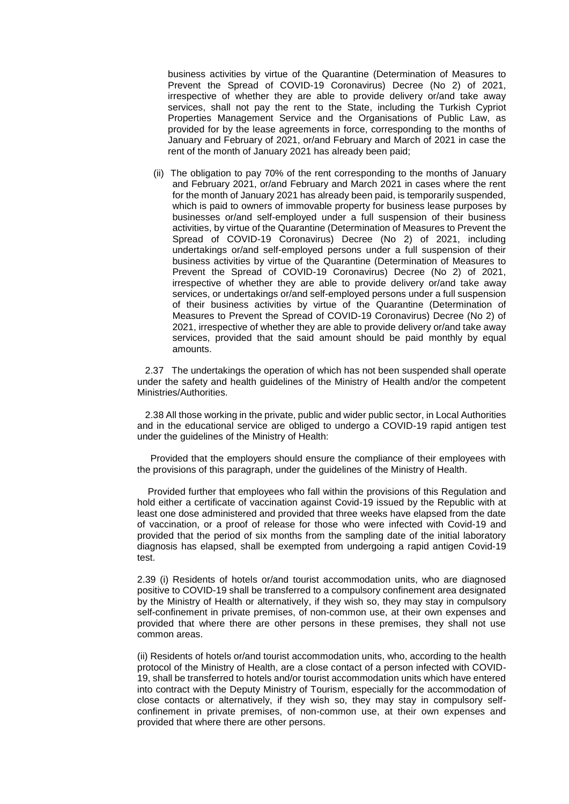business activities by virtue of the Quarantine (Determination of Measures to Prevent the Spread of COVID-19 Coronavirus) Decree (No 2) of 2021, irrespective of whether they are able to provide delivery or/and take away services, shall not pay the rent to the State, including the Turkish Cypriot Properties Management Service and the Organisations of Public Law, as provided for by the lease agreements in force, corresponding to the months of January and February of 2021, or/and February and March of 2021 in case the rent of the month of January 2021 has already been paid;

(ii) The obligation to pay 70% of the rent corresponding to the months of January and February 2021, or/and February and March 2021 in cases where the rent for the month of January 2021 has already been paid, is temporarily suspended, which is paid to owners of immovable property for business lease purposes by businesses or/and self-employed under a full suspension of their business activities, by virtue of the Quarantine (Determination of Measures to Prevent the Spread of COVID-19 Coronavirus) Decree (No 2) of 2021, including undertakings or/and self-employed persons under a full suspension of their business activities by virtue of the Quarantine (Determination of Measures to Prevent the Spread of COVID-19 Coronavirus) Decree (No 2) of 2021, irrespective of whether they are able to provide delivery or/and take away services, or undertakings or/and self-employed persons under a full suspension of their business activities by virtue of the Quarantine (Determination of Measures to Prevent the Spread of COVID-19 Coronavirus) Decree (No 2) of 2021, irrespective of whether they are able to provide delivery or/and take away services, provided that the said amount should be paid monthly by equal amounts.

 2.37 The undertakings the operation of which has not been suspended shall operate under the safety and health guidelines of the Ministry of Health and/or the competent Ministries/Authorities.

 2.38 All those working in the private, public and wider public sector, in Local Authorities and in the educational service are obliged to undergo a COVID-19 rapid antigen test under the guidelines of the Ministry of Health:

 Provided that the employers should ensure the compliance of their employees with the provisions of this paragraph, under the guidelines of the Ministry of Health.

 Provided further that employees who fall within the provisions of this Regulation and hold either a certificate of vaccination against Covid-19 issued by the Republic with at least one dose administered and provided that three weeks have elapsed from the date of vaccination, or a proof of release for those who were infected with Covid-19 and provided that the period of six months from the sampling date of the initial laboratory diagnosis has elapsed, shall be exempted from undergoing a rapid antigen Covid-19 test.

2.39 (i) Residents of hotels or/and tourist accommodation units, who are diagnosed positive to COVID-19 shall be transferred to a compulsory confinement area designated by the Ministry of Health or alternatively, if they wish so, they may stay in compulsory self-confinement in private premises, of non-common use, at their own expenses and provided that where there are other persons in these premises, they shall not use common areas.

(ii) Residents of hotels or/and tourist accommodation units, who, according to the health protocol of the Ministry of Health, are a close contact of a person infected with COVID-19, shall be transferred to hotels and/or tourist accommodation units which have entered into contract with the Deputy Ministry of Tourism, especially for the accommodation of close contacts or alternatively, if they wish so, they may stay in compulsory selfconfinement in private premises, of non-common use, at their own expenses and provided that where there are other persons.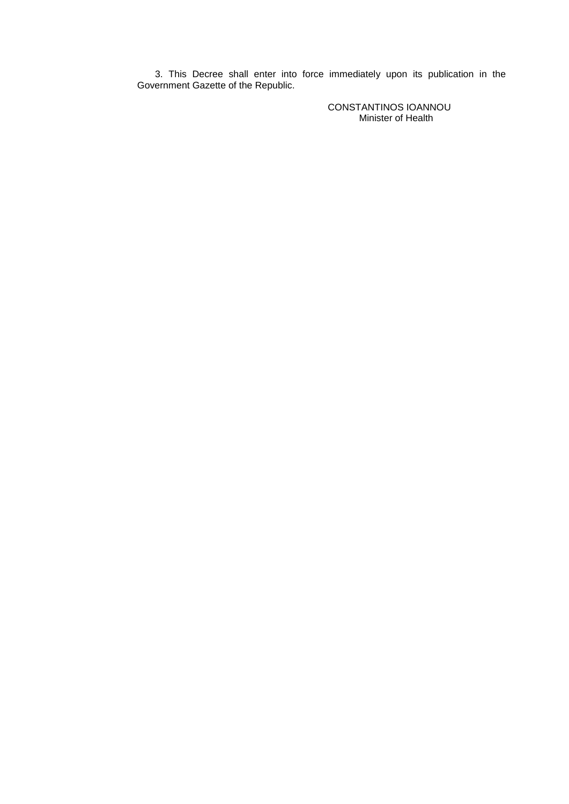3. This Decree shall enter into force immediately upon its publication in the Government Gazette of the Republic.

> CONSTANTINOS IOANNOU Minister of Health